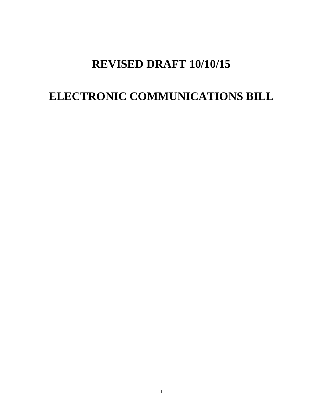# **REVISED DRAFT 10/10/15**

# **ELECTRONIC COMMUNICATIONS BILL**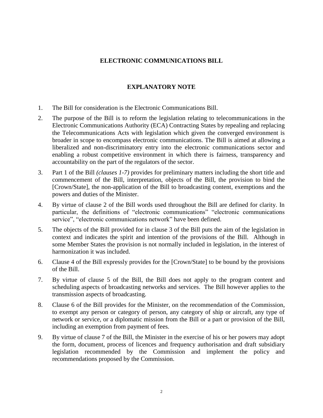#### **ELECTRONIC COMMUNICATIONS BILL**

#### **EXPLANATORY NOTE**

- 1. The Bill for consideration is the Electronic Communications Bill.
- 2. The purpose of the Bill is to reform the legislation relating to telecommunications in the Electronic Communications Authority (ECA) Contracting States by repealing and replacing the Telecommunications Acts with legislation which given the converged environment is broader in scope to encompass electronic communications. The Bill is aimed at allowing a liberalized and non-discriminatory entry into the electronic communications sector and enabling a robust competitive environment in which there is fairness, transparency and accountability on the part of the regulators of the sector.
- 3. Part 1 of the Bill *(clauses 1-7)* provides for preliminary matters including the short title and commencement of the Bill, interpretation, objects of the Bill, the provision to bind the [Crown/State], the non-application of the Bill to broadcasting content, exemptions and the powers and duties of the Minister.
- 4. By virtue of clause 2 of the Bill words used throughout the Bill are defined for clarity. In particular, the definitions of "electronic communications" "electronic communications service", "electronic communications network" have been defined.
- 5. The objects of the Bill provided for in clause 3 of the Bill puts the aim of the legislation in context and indicates the spirit and intention of the provisions of the Bill. Although in some Member States the provision is not normally included in legislation, in the interest of harmonization it was included.
- 6. Clause 4 of the Bill expressly provides for the [Crown/State] to be bound by the provisions of the Bill.
- 7. By virtue of clause 5 of the Bill, the Bill does not apply to the program content and scheduling aspects of broadcasting networks and services. The Bill however applies to the transmission aspects of broadcasting.
- 8. Clause 6 of the Bill provides for the Minister, on the recommendation of the Commission, to exempt any person or category of person, any category of ship or aircraft, any type of network or service, or a diplomatic mission from the Bill or a part or provision of the Bill, including an exemption from payment of fees.
- 9. By virtue of clause 7 of the Bill, the Minister in the exercise of his or her powers may adopt the form, document, process of licences and frequency authorisation and draft subsidiary legislation recommended by the Commission and implement the policy and recommendations proposed by the Commission.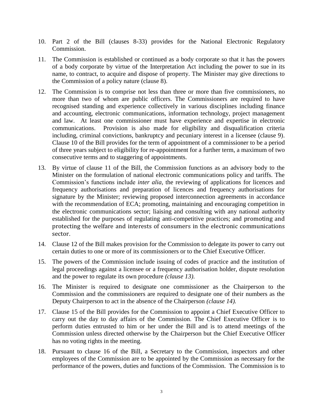- 10. Part 2 of the Bill (clauses 8-33) provides for the National Electronic Regulatory Commission.
- 11. The Commission is established or continued as a body corporate so that it has the powers of a body corporate by virtue of the Interpretation Act including the power to sue in its name, to contract, to acquire and dispose of property. The Minister may give directions to the Commission of a policy nature (clause 8).
- 12. The Commission is to comprise not less than three or more than five commissioners, no more than two of whom are public officers. The Commissioners are required to have recognised standing and experience collectively in various disciplines including finance and accounting, electronic communications, information technology, project management and law. At least one commissioner must have experience and expertise in electronic communications. Provision is also made for eligibility and disqualification criteria including, criminal convictions, bankruptcy and pecuniary interest in a licensee (clause 9). Clause 10 of the Bill provides for the term of appointment of a commissioner to be a period of three years subject to eligibility for re-appointment for a further term, a maximum of two consecutive terms and to staggering of appointments.
- 13. By virtue of clause 11 of the Bill, the Commission functions as an advisory body to the Minister on the formulation of national electronic communications policy and tariffs. The Commission's functions include *inter alia,* the reviewing of applications for licences and frequency authorisations and preparation of licences and frequency authorisations for signature by the Minister; reviewing proposed interconnection agreements in accordance with the recommendation of ECA; promoting, maintaining and encouraging competition in the electronic communications sector; liaising and consulting with any national authority established for the purposes of regulating anti-competitive practices; and promoting and protecting the welfare and interests of consumers in the electronic communications sector.
- 14. Clause 12 of the Bill makes provision for the Commission to delegate its power to carry out certain duties to one or more of its commissioners or to the Chief Executive Officer.
- 15. The powers of the Commission include issuing of codes of practice and the institution of legal proceedings against a licensee or a frequency authorisation holder, dispute resolution and the power to regulate its own procedure *(clause 13)*.
- 16. The Minister is required to designate one commissioner as the Chairperson to the Commission and the commissioners are required to designate one of their numbers as the Deputy Chairperson to act in the absence of the Chairperson *(clause 14).*
- 17. Clause 15 of the Bill provides for the Commission to appoint a Chief Executive Officer to carry out the day to day affairs of the Commission. The Chief Executive Officer is to perform duties entrusted to him or her under the Bill and is to attend meetings of the Commission unless directed otherwise by the Chairperson but the Chief Executive Officer has no voting rights in the meeting.
- 18. Pursuant to clause 16 of the Bill, a Secretary to the Commission, inspectors and other employees of the Commission are to be appointed by the Commission as necessary for the performance of the powers, duties and functions of the Commission. The Commission is to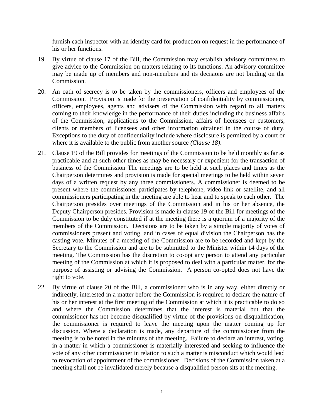furnish each inspector with an identity card for production on request in the performance of his or her functions.

- 19. By virtue of clause 17 of the Bill, the Commission may establish advisory committees to give advice to the Commission on matters relating to its functions. An advisory committee may be made up of members and non-members and its decisions are not binding on the Commission.
- 20. An oath of secrecy is to be taken by the commissioners, officers and employees of the Commission. Provision is made for the preservation of confidentiality by commissioners, officers, employees, agents and advisers of the Commission with regard to all matters coming to their knowledge in the performance of their duties including the business affairs of the Commission, applications to the Commission, affairs of licensees or customers, clients or members of licensees and other information obtained in the course of duty. Exceptions to the duty of confidentiality include where disclosure is permitted by a court or where it is available to the public from another source *(Clause 18)*.
- 21. Clause 19 of the Bill provides for meetings of the Commission to be held monthly as far as practicable and at such other times as may be necessary or expedient for the transaction of business of the Commission The meetings are to be held at such places and times as the Chairperson determines and provision is made for special meetings to be held within seven days of a written request by any three commissioners. A commissioner is deemed to be present where the commissioner participates by telephone, video link or satellite, and all commissioners participating in the meeting are able to hear and to speak to each other. The Chairperson presides over meetings of the Commission and in his or her absence, the Deputy Chairperson presides. Provision is made in clause 19 of the Bill for meetings of the Commission to be duly constituted if at the meeting there is a quorum of a majority of the members of the Commission. Decisions are to be taken by a simple majority of votes of commissioners present and voting, and in cases of equal division the Chairperson has the casting vote. Minutes of a meeting of the Commission are to be recorded and kept by the Secretary to the Commission and are to be submitted to the Minister within 14 days of the meeting. The Commission has the discretion to co-opt any person to attend any particular meeting of the Commission at which it is proposed to deal with a particular matter, for the purpose of assisting or advising the Commission. A person co-opted does not have the right to vote.
- 22. By virtue of clause 20 of the Bill, a commissioner who is in any way, either directly or indirectly, interested in a matter before the Commission is required to declare the nature of his or her interest at the first meeting of the Commission at which it is practicable to do so and where the Commission determines that the interest is material but that the commissioner has not become disqualified by virtue of the provisions on disqualification, the commissioner is required to leave the meeting upon the matter coming up for discussion. Where a declaration is made, any departure of the commissioner from the meeting is to be noted in the minutes of the meeting. Failure to declare an interest, voting, in a matter in which a commissioner is materially interested and seeking to influence the vote of any other commissioner in relation to such a matter is misconduct which would lead to revocation of appointment of the commissioner. Decisions of the Commission taken at a meeting shall not be invalidated merely because a disqualified person sits at the meeting.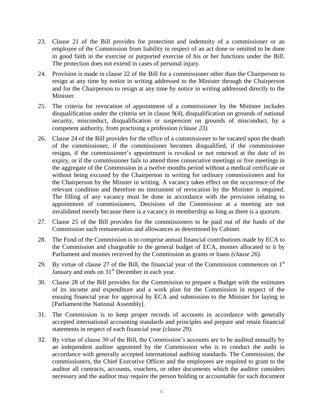- 23. Clause 21 of the Bill provides for protection and indemnity of a commissioner or an employee of the Commission from liability in respect of an act done or omitted to be done in good faith in the exercise or purported exercise of his or her functions under the Bill. The protection does not extend in cases of personal injury.
- 24. Provision is made in clause 22 of the Bill for a commissioner other than the Chairperson to resign at any time by notice in writing addressed to the Minister through the Chairperson and for the Chairperson to resign at any time by notice in writing addressed directly to the Minister.
- 25. The criteria for revocation of appointment of a commissioner by the Minister includes disqualification under the criteria set in clause 9(4), disqualification on grounds of national security, misconduct, disqualification or suspension on grounds of misconduct, by a competent authority, from practising a profession *(clause 23).*
- 26. Clause 24 of the Bill provides for the office of a commissioner to be vacated upon the death of the commissioner, if the commissioner becomes disqualified, if the commissioner resigns, if the commissioner's appointment is revoked or not renewed at the date of its expiry, or if the commissioner fails to attend three consecutive meetings or five meetings in the aggregate of the Commission in a twelve months period without a medical certificate or without being excused by the Chairperson in writing for ordinary commissioners and for the Chairperson by the Minster in writing. A vacancy takes effect on the occurrence of the relevant condition and therefore no instrument of revocation by the Minister is required. The filling of any vacancy must be done in accordance with the provision relating to appointment of commissioners. Decisions of the Commission at a meeting are not invalidated merely because there is a vacancy in membership as long as there is a quorum.
- 27. Clause 25 of the Bill provides for the commissioners to be paid out of the funds of the Commission such remuneration and allowances as determined by Cabinet.
- 28. The Fund of the Commission is to comprise annual financial contributions made by ECA to the Commission and chargeable to the general budget of ECA, monies allocated to it by Parliament and monies received by the Commission as grants or loans *(clause 26)*.
- 29. By virtue of clause 27 of the Bill, the financial year of the Commission commences on  $1<sup>st</sup>$ January and ends on  $31<sup>st</sup>$  December in each year.
- 30. Clause 28 of the Bill provides for the Commission to prepare a Budget with the estimates of its income and expenditure and a work plan for the Commission in respect of the ensuing financial year for approval by ECA and submission to the Minister for laying in [Parliament/the National Assembly].
- 31. The Commission is to keep proper records of accounts in accordance with generally accepted international accounting standards and principles and prepare and retain financial statements in respect of each financial year *(clause 29)*.
- 32. By virtue of clause 30 of the Bill, the Commission's accounts are to be audited annually by an independent auditor appointed by the Commission who is to conduct the audit in accordance with generally accepted international auditing standards. The Commission, the commissioners, the Chief Executive Officer and the employees are required to grant to the auditor all contracts, accounts, vouchers, or other documents which the auditor considers necessary and the auditor may require the person holding or accountable for such document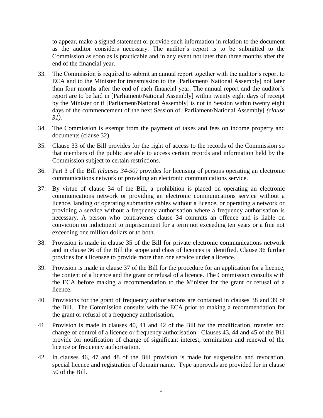to appear, make a signed statement or provide such information in relation to the document as the auditor considers necessary. The auditor's report is to be submitted to the Commission as soon as is practicable and in any event not later than three months after the end of the financial year.

- 33. The Commission is required to submit an annual report together with the auditor's report to ECA and to the Minister for transmission to the [Parliament/ National Assembly] not later than four months after the end of each financial year. The annual report and the auditor's report are to be laid in [Parliament/National Assembly] within twenty eight days of receipt by the Minister or if [Parliament/National Assembly] is not in Session within twenty eight days of the commencement of the next Session of [Parliament/National Assembly] *(clause 31).*
- 34. The Commission is exempt from the payment of taxes and fees on income property and documents (clause 32).
- 35. Clause 33 of the Bill provides for the right of access to the records of the Commission so that members of the public are able to access certain records and information held by the Commission subject to certain restrictions.
- 36. Part 3 of the Bill *(clauses 34-50)* provides for licensing of persons operating an electronic communications network or providing an electronic communications service.
- 37. By virtue of clause 34 of the Bill, a prohibition is placed on operating an electronic communications network or providing an electronic communications service without a licence, landing or operating submarine cables without a licence, or operating a network or providing a service without a frequency authorisation where a frequency authorisation is necessary. A person who contravenes clause 34 commits an offence and is liable on conviction on indictment to imprisonment for a term not exceeding ten years or a fine not exceeding one million dollars or to both.
- 38. Provision is made in clause 35 of the Bill for private electronic communications network and in clause 36 of the Bill the scope and class of licences is identified. Clause 36 further provides for a licensee to provide more than one service under a licence.
- 39. Provision is made in clause 37 of the Bill for the procedure for an application for a licence, the content of a licence and the grant or refusal of a licence. The Commission consults with the ECA before making a recommendation to the Minister for the grant or refusal of a licence.
- 40. Provisions for the grant of frequency authorisations are contained in clauses 38 and 39 of the Bill. The Commission consults with the ECA prior to making a recommendation for the grant or refusal of a frequency authorisation.
- 41. Provision is made in clauses 40, 41 and 42 of the Bill for the modification, transfer and change of control of a licence or frequency authorisation. Clauses 43, 44 and 45 of the Bill provide for notification of change of significant interest, termination and renewal of the licence or frequency authorisation.
- 42. In clauses 46, 47 and 48 of the Bill provision is made for suspension and revocation, special licence and registration of domain name. Type approvals are provided for in clause 50 of the Bill.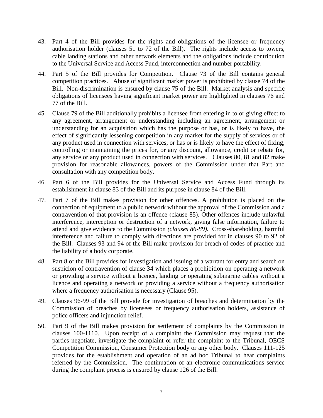- 43. Part 4 of the Bill provides for the rights and obligations of the licensee or frequency authorisation holder (clauses 51 to 72 of the Bill). The rights include access to towers, cable landing stations and other network elements and the obligations include contribution to the Universal Service and Access Fund, interconnection and number portability.
- 44. Part 5 of the Bill provides for Competition. Clause 73 of the Bill contains general competition practices. Abuse of significant market power is prohibited by clause 74 of the Bill. Non-discrimination is ensured by clause 75 of the Bill. Market analysis and specific obligations of licensees having significant market power are highlighted in clauses 76 and 77 of the Bill.
- 45. Clause 79 of the Bill additionally prohibits a licensee from entering in to or giving effect to any agreement, arrangement or understanding including an agreement, arrangement or understanding for an acquisition which has the purpose or has, or is likely to have, the effect of significantly lessening competition in any market for the supply of services or of any product used in connection with services, or has or is likely to have the effect of fixing, controlling or maintaining the prices for, or any discount, allowance, credit or rebate for, any service or any product used in connection with services. Clauses 80, 81 and 82 make provision for reasonable allowances, powers of the Commission under that Part and consultation with any competition body.
- 46. Part 6 of the Bill provides for the Universal Service and Access Fund through its establishment in clause 83 of the Bill and its purpose in clause 84 of the Bill.
- 47. Part 7 of the Bill makes provision for other offences. A prohibition is placed on the connection of equipment to a public network without the approval of the Commission and a contravention of that provision is an offence (clause 85). Other offences include unlawful interference, interception or destruction of a network, giving false information, failure to attend and give evidence to the Commission *(clauses 86-89).* Cross-shareholding, harmful interference and failure to comply with directions are provided for in clauses 90 to 92 of the Bill. Clauses 93 and 94 of the Bill make provision for breach of codes of practice and the liability of a body corporate.
- 48. Part 8 of the Bill provides for investigation and issuing of a warrant for entry and search on suspicion of contravention of clause 34 which places a prohibition on operating a network or providing a service without a licence, landing or operating submarine cables without a licence and operating a network or providing a service without a frequency authorisation where a frequency authorisation is necessary (Clause 95).
- 49. Clauses 96-99 of the Bill provide for investigation of breaches and determination by the Commission of breaches by licensees or frequency authorisation holders, assistance of police officers and injunction relief.
- 50. Part 9 of the Bill makes provision for settlement of complaints by the Commission in clauses 100-1110. Upon receipt of a complaint the Commission may request that the parties negotiate, investigate the complaint or refer the complaint to the Tribunal, OECS Competition Commission, Consumer Protection body or any other body. Clauses 111-125 provides for the establishment and operation of an ad hoc Tribunal to hear complaints referred by the Commission. The continuation of an electronic communications service during the complaint process is ensured by clause 126 of the Bill.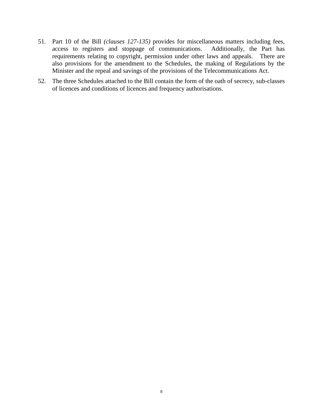- 51. Part 10 of the Bill *(clauses 127-135)* provides for miscellaneous matters including fees, access to registers and stoppage of communications. Additionally, the Part has requirements relating to copyright, permission under other laws and appeals. There are also provisions for the amendment to the Schedules, the making of Regulations by the Minister and the repeal and savings of the provisions of the Telecommunications Act.
- 52. The three Schedules attached to the Bill contain the form of the oath of secrecy, sub-classes of licences and conditions of licences and frequency authorisations.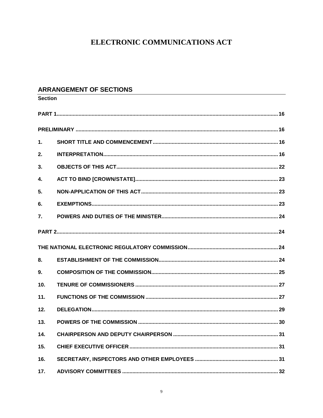# ELECTRONIC COMMUNICATIONS ACT

### **ARRANGEMENT OF SECTIONS**

| <b>Section</b> |  |  |
|----------------|--|--|
|                |  |  |
|                |  |  |
| 1.             |  |  |
| 2.             |  |  |
| 3.             |  |  |
| 4.             |  |  |
| 5.             |  |  |
| 6.             |  |  |
| 7.             |  |  |
|                |  |  |
|                |  |  |
| 8.             |  |  |
| 9.             |  |  |
| 10.            |  |  |
| 11.            |  |  |
| 12.            |  |  |
| 13.            |  |  |
| 14.            |  |  |
| 15.            |  |  |
| 16.            |  |  |
| 17.            |  |  |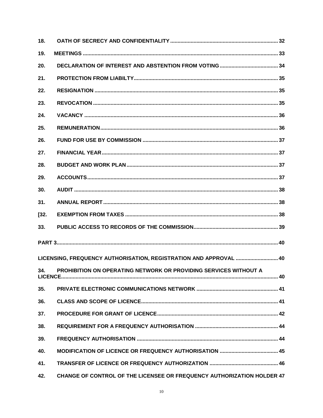| 18.    |                                                                               |
|--------|-------------------------------------------------------------------------------|
| 19.    |                                                                               |
| 20.    |                                                                               |
| 21.    |                                                                               |
| 22.    |                                                                               |
| 23.    |                                                                               |
| 24.    |                                                                               |
| 25.    |                                                                               |
| 26.    |                                                                               |
| 27.    |                                                                               |
| 28.    |                                                                               |
| 29.    |                                                                               |
| 30.    |                                                                               |
| 31.    |                                                                               |
| $[32]$ |                                                                               |
| 33.    |                                                                               |
|        |                                                                               |
|        | LICENSING, FREQUENCY AUTHORISATION, REGISTRATION AND APPROVAL  40             |
| 34.    | PROHIBITION ON OPERATING NETWORK OR PROVIDING SERVICES WITHOUT A              |
| 35.    |                                                                               |
| 36.    |                                                                               |
| 37.    |                                                                               |
| 38.    |                                                                               |
| 39.    |                                                                               |
| 40.    |                                                                               |
| 41.    |                                                                               |
| 42.    | <b>CHANGE OF CONTROL OF THE LICENSEE OR FREQUENCY AUTHORIZATION HOLDER 47</b> |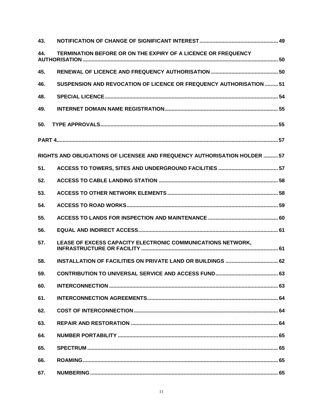| 43. |                                                                           |  |
|-----|---------------------------------------------------------------------------|--|
| 44. | TERMINATION BEFORE OR ON THE EXPIRY OF A LICENCE OR FREQUENCY             |  |
| 45. |                                                                           |  |
| 46. | SUSPENSION AND REVOCATION OF LICENCE OR FREQUENCY AUTHORISATION  51       |  |
| 48. |                                                                           |  |
| 49. |                                                                           |  |
| 50. |                                                                           |  |
|     |                                                                           |  |
|     | RIGHTS AND OBLIGATIONS OF LICENSEE AND FREQUENCY AUTHORISATION HOLDER  57 |  |
| 51. |                                                                           |  |
| 52. |                                                                           |  |
| 53. |                                                                           |  |
| 54. |                                                                           |  |
| 55. |                                                                           |  |
| 56. |                                                                           |  |
| 57. | LEASE OF EXCESS CAPACITY ELECTRONIC COMMUNICATIONS NETWORK,               |  |
| 58. |                                                                           |  |
| 59. |                                                                           |  |
| 60. |                                                                           |  |
| 61. |                                                                           |  |
| 62. |                                                                           |  |
| 63. |                                                                           |  |
| 64. |                                                                           |  |
| 65. |                                                                           |  |
| 66. |                                                                           |  |
| 67. |                                                                           |  |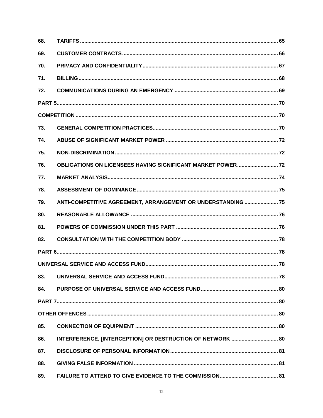| 68. |                                                                    |  |
|-----|--------------------------------------------------------------------|--|
| 69. |                                                                    |  |
| 70. |                                                                    |  |
| 71. |                                                                    |  |
| 72. |                                                                    |  |
|     |                                                                    |  |
|     |                                                                    |  |
| 73. |                                                                    |  |
| 74. |                                                                    |  |
| 75. |                                                                    |  |
| 76. | <b>OBLIGATIONS ON LICENSEES HAVING SIGNIFICANT MARKET POWER 72</b> |  |
| 77. |                                                                    |  |
| 78. |                                                                    |  |
| 79. | ANTI-COMPETITIVE AGREEMENT, ARRANGEMENT OR UNDERSTANDING  75       |  |
| 80. |                                                                    |  |
| 81. |                                                                    |  |
| 82. |                                                                    |  |
|     |                                                                    |  |
|     |                                                                    |  |
| 83. |                                                                    |  |
| 84. |                                                                    |  |
|     |                                                                    |  |
|     |                                                                    |  |
| 85. |                                                                    |  |
| 86. | INTERFERENCE, [INTERCEPTION] OR DESTRUCTION OF NETWORK  80         |  |
| 87. |                                                                    |  |
| 88. |                                                                    |  |
| 89. |                                                                    |  |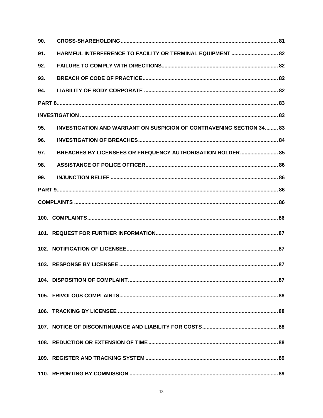| 90. |                                                                             |  |
|-----|-----------------------------------------------------------------------------|--|
| 91. | HARMFUL INTERFERENCE TO FACILITY OR TERMINAL EQUIPMENT  82                  |  |
| 92. |                                                                             |  |
| 93. |                                                                             |  |
| 94. |                                                                             |  |
|     |                                                                             |  |
|     |                                                                             |  |
| 95. | <b>INVESTIGATION AND WARRANT ON SUSPICION OF CONTRAVENING SECTION 34 83</b> |  |
| 96. |                                                                             |  |
| 97. | BREACHES BY LICENSEES OR FREQUENCY AUTHORISATION HOLDER 85                  |  |
| 98. |                                                                             |  |
| 99. |                                                                             |  |
|     |                                                                             |  |
|     |                                                                             |  |
|     |                                                                             |  |
|     |                                                                             |  |
|     |                                                                             |  |
|     |                                                                             |  |
|     |                                                                             |  |
|     |                                                                             |  |
|     |                                                                             |  |
|     |                                                                             |  |
|     |                                                                             |  |
|     |                                                                             |  |
|     |                                                                             |  |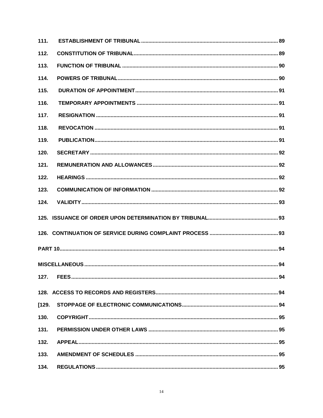| 111.  |  |
|-------|--|
| 112.  |  |
| 113.  |  |
| 114.  |  |
| 115.  |  |
| 116.  |  |
| 117.  |  |
| 118.  |  |
| 119.  |  |
| 120.  |  |
| 121.  |  |
| 122.  |  |
| 123.  |  |
| 124.  |  |
|       |  |
|       |  |
|       |  |
|       |  |
|       |  |
| 127.  |  |
|       |  |
| [129] |  |
| 130.  |  |
| 131.  |  |
| 132.  |  |
| 133.  |  |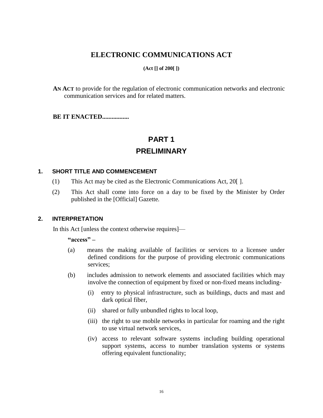## **ELECTRONIC COMMUNICATIONS ACT**

#### **(Act [] of 200[ ])**

**AN ACT** to provide for the regulation of electronic communication networks and electronic communication services and for related matters.

<span id="page-15-0"></span>**BE IT ENACTED................** 

# **PART 1**

### **PRELIMINARY**

#### <span id="page-15-2"></span><span id="page-15-1"></span>**1. SHORT TITLE AND COMMENCEMENT**

- (1) This Act may be cited as the Electronic Communications Act, 20[ ].
- (2) This Act shall come into force on a day to be fixed by the Minister by Order published in the [Official] Gazette*.*

#### <span id="page-15-3"></span>**2. INTERPRETATION**

In this Act [unless the context otherwise requires]—

**"access" –**

- (a) means the making available of facilities or services to a licensee under defined conditions for the purpose of providing electronic communications services;
- (b) includes admission to network elements and associated facilities which may involve the connection of equipment by fixed or non-fixed means including-
	- (i) entry to physical infrastructure, such as buildings, ducts and mast and dark optical fiber,
	- (ii) shared or fully unbundled rights to local loop,
	- (iii) the right to use mobile networks in particular for roaming and the right to use virtual network services,
	- (iv) access to relevant software systems including building operational support systems, access to number translation systems or systems offering equivalent functionality;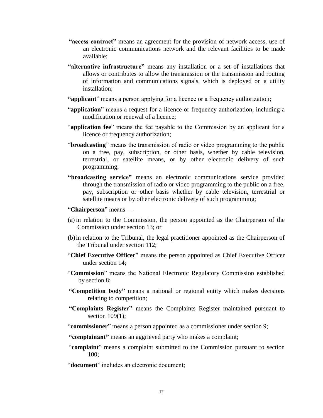- **"access contract"** means an agreement for the provision of network access, use of an electronic communications network and the relevant facilities to be made available;
- **"alternative infrastructure"** means any installation or a set of installations that allows or contributes to allow the transmission or the transmission and routing of information and communications signals, which is deployed on a utility installation;
- **"applicant**" means a person applying for a licence or a frequency authorization;
- "**application**" means a request for a licence or frequency authorization, including a modification or renewal of a licence;
- "**application fee**" means the fee payable to the Commission by an applicant for a licence or frequency authorization;
- "**broadcasting**" means the transmission of radio or video programming to the public on a free, pay, subscription, or other basis, whether by cable television, terrestrial, or satellite means, or by other electronic delivery of such programming;
- **"broadcasting service"** means an electronic communications service provided through the transmission of radio or video programming to the public on a free, pay, subscription or other basis whether by cable television, terrestrial or satellite means or by other electronic delivery of such programming;

#### "**Chairperson**" means —

- (a) in relation to the Commission, the person appointed as the Chairperson of the Commission under section 13; or
- (b)in relation to the Tribunal, the legal practitioner appointed as the Chairperson of the Tribunal under section 112;
- "**Chief Executive Officer**" means the person appointed as Chief Executive Officer under section 14;
- "**Commission**" means the National Electronic Regulatory Commission established by section 8;
- **"Competition body"** means a national or regional entity which makes decisions relating to competition;
- **"Complaints Register"** means the Complaints Register maintained pursuant to section  $109(1)$ ;
- "**commissioner**" means a person appointed as a commissioner under section 9;

**"complainant"** means an aggrieved party who makes a complaint;

"**complaint**" means a complaint submitted to the Commission pursuant to section 100;

"**document**" includes an electronic document;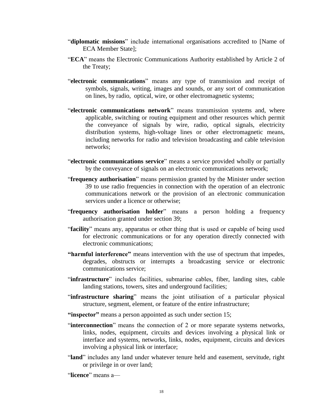- "**diplomatic missions**" include international organisations accredited to [Name of ECA Member State];
- "**ECA**" means the Electronic Communications Authority established by Article 2 of the Treaty;
- "**electronic communications**" means any type of transmission and receipt of symbols, signals, writing, images and sounds, or any sort of communication on lines, by radio, optical, wire, or other electromagnetic systems;
- "electronic communications network" means transmission systems and, where applicable, switching or routing equipment and other resources which permit the conveyance of signals by wire, radio, optical signals, electricity distribution systems, high-voltage lines or other electromagnetic means, including networks for radio and television broadcasting and cable television networks;
- "**electronic communications service**" means a service provided wholly or partially by the conveyance of signals on an electronic communications network;
- "**frequency authorisation**" means permission granted by the Minister under section 39 to use radio frequencies in connection with the operation of an electronic communications network or the provision of an electronic communication services under a licence or otherwise;
- "**frequency authorisation holder**" means a person holding a frequency authorisation granted under section 39;
- "**facility**" means any, apparatus or other thing that is used or capable of being used for electronic communications or for any operation directly connected with electronic communications;
- **"harmful interference"** means intervention with the use of spectrum that impedes, degrades, obstructs or interrupts a broadcasting service or electronic communications service;
- "**infrastructure**" includes facilities, submarine cables, fiber, landing sites, cable landing stations, towers, sites and underground facilities;
- "**infrastructure sharing**" means the joint utilisation of a particular physical structure, segment, element, or feature of the entire infrastructure;
- **"inspector"** means a person appointed as such under section 15;
- "**interconnection**" means the connection of 2 or more separate systems networks, links, nodes, equipment, circuits and devices involving a physical link or interface and systems, networks, links, nodes, equipment, circuits and devices involving a physical link or interface;
- "**land**" includes any land under whatever tenure held and easement, servitude, right or privilege in or over land;

"**licence**" means a—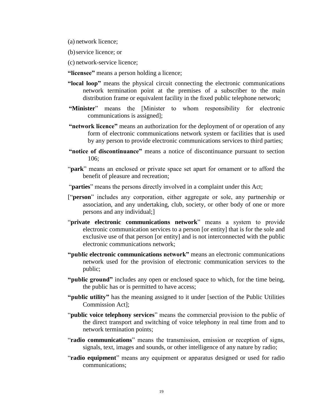(a) network licence;

- (b)service licence; or
- (c) network-service licence;
- **"licensee"** means a person holding a licence;
- **"local loop"** means the physical circuit connecting the electronic communications network termination point at the premises of a subscriber to the main distribution frame or equivalent facility in the fixed public telephone network;
- **"Minister**" means the [Minister to whom responsibility for electronic communications is assigned];
- **"network licence"** means an authorization for the deployment of or operation of any form of electronic communications network system or facilities that is used by any person to provide electronic communications services to third parties;
- **"notice of discontinuance"** means a notice of discontinuance pursuant to section 106;
- "**park**" means an enclosed or private space set apart for ornament or to afford the benefit of pleasure and recreation;
- "**parties**" means the persons directly involved in a complaint under this Act;
- ["**person**" includes any corporation, either aggregate or sole, any partnership or association, and any undertaking, club, society, or other body of one or more persons and any individual;]
- "**private electronic communications network**" means a system to provide electronic communication services to a person [or entity] that is for the sole and exclusive use of that person [or entity] and is not interconnected with the public electronic communications network;
- **"public electronic communications network"** means an electronic communications network used for the provision of electronic communication services to the public;
- **"public ground"** includes any open or enclosed space to which, for the time being, the public has or is permitted to have access;
- **"public utility"** has the meaning assigned to it under [section of the Public Utilities Commission Act];
- "**public voice telephony services**" means the commercial provision to the public of the direct transport and switching of voice telephony in real time from and to network termination points;
- "**radio communications**" means the transmission, emission or reception of signs, signals, text, images and sounds, or other intelligence of any nature by radio;
- "**radio equipment**" means any equipment or apparatus designed or used for radio communications;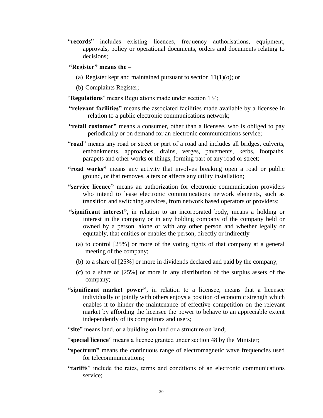"**records**" includes existing licences, frequency authorisations, equipment, approvals, policy or operational documents, orders and documents relating to decisions;

#### **"Register" means the –**

- (a) Register kept and maintained pursuant to section  $11(1)(o)$ ; or
- (b) Complaints Register;
- "**Regulations**" means Regulations made under section 134;
- **"relevant facilities"** means the associated facilities made available by a licensee in relation to a public electronic communications network;
- **"retail customer"** means a consumer, other than a licensee, who is obliged to pay periodically or on demand for an electronic communications service;
- "**road**" means any road or street or part of a road and includes all bridges, culverts, embankments, approaches, drains, verges, pavements, kerbs, footpaths, parapets and other works or things, forming part of any road or street;
- **"road works"** means any activity that involves breaking open a road or public ground, or that removes, alters or affects any utility installation;
- **"service licence"** means an authorization for electronic communication providers who intend to lease electronic communications network elements, such as transition and switching services, from network based operators or providers;
- **"significant interest"**, in relation to an incorporated body, means a holding or interest in the company or in any holding company of the company held or owned by a person, alone or with any other person and whether legally or equitably, that entitles or enables the person, directly or indirectly –
	- (a) to control [25%] or more of the voting rights of that company at a general meeting of the company;
	- (b) to a share of [25%] or more in dividends declared and paid by the company;
	- **(c)** to a share of [25%] or more in any distribution of the surplus assets of the company;
- **"significant market power"**, in relation to a licensee, means that a licensee individually or jointly with others enjoys a position of economic strength which enables it to hinder the maintenance of effective competition on the relevant market by affording the licensee the power to behave to an appreciable extent independently of its competitors and users;
- "site" means land, or a building on land or a structure on land;
- "**special licence**" means a licence granted under section 48 by the Minister;
- **"spectrum"** means the continuous range of electromagnetic wave frequencies used for telecommunications;
- **"tariffs**" include the rates, terms and conditions of an electronic communications service;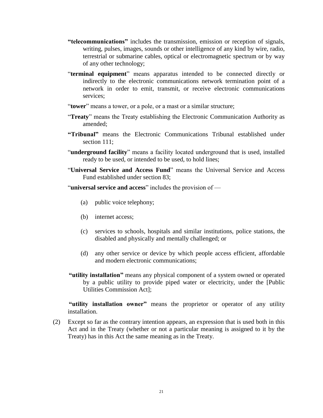- **"telecommunications"** includes the transmission, emission or reception of signals, writing, pulses, images, sounds or other intelligence of any kind by wire, radio, terrestrial or submarine cables, optical or electromagnetic spectrum or by way of any other technology;
- "**terminal equipment**" means apparatus intended to be connected directly or indirectly to the electronic communications network termination point of a network in order to emit, transmit, or receive electronic communications services;
- "**tower**" means a tower, or a pole, or a mast or a similar structure;
- "**Treaty**" means the Treaty establishing the Electronic Communication Authority as amended;
- **"Tribunal"** means the Electronic Communications Tribunal established under section 111;
- "**underground facility**" means a facility located underground that is used, installed ready to be used, or intended to be used, to hold lines;
- "**Universal Service and Access Fund**" means the Universal Service and Access Fund established under section 83;
- "**universal service and access**" includes the provision of
	- (a) public voice telephony;
	- (b) internet access;
	- (c) services to schools, hospitals and similar institutions, police stations, the disabled and physically and mentally challenged; or
	- (d) any other service or device by which people access efficient, affordable and modern electronic communications;
- **"utility installation"** means any physical component of a system owned or operated by a public utility to provide piped water or electricity, under the [Public Utilities Commission Act];

**"utility installation owner"** means the proprietor or operator of any utility installation.

(2) Except so far as the contrary intention appears, an expression that is used both in this Act and in the Treaty (whether or not a particular meaning is assigned to it by the Treaty) has in this Act the same meaning as in the Treaty.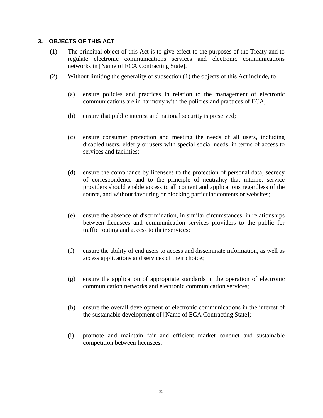#### <span id="page-21-0"></span>**3. OBJECTS OF THIS ACT**

- (1) The principal object of this Act is to give effect to the purposes of the Treaty and to regulate electronic communications services and electronic communications networks in [Name of ECA Contracting State].
- (2) Without limiting the generality of subsection  $(1)$  the objects of this Act include, to
	- (a) ensure policies and practices in relation to the management of electronic communications are in harmony with the policies and practices of ECA;
	- (b) ensure that public interest and national security is preserved;
	- (c) ensure consumer protection and meeting the needs of all users, including disabled users, elderly or users with special social needs, in terms of access to services and facilities;
	- (d) ensure the compliance by licensees to the protection of personal data, secrecy of correspondence and to the principle of neutrality that internet service providers should enable access to all content and applications regardless of the source, and without favouring or blocking particular contents or websites;
	- (e) ensure the absence of discrimination, in similar circumstances, in relationships between licensees and communication services providers to the public for traffic routing and access to their services;
	- (f) ensure the ability of end users to access and disseminate information, as well as access applications and services of their choice;
	- (g) ensure the application of appropriate standards in the operation of electronic communication networks and electronic communication services;
	- (h) ensure the overall development of electronic communications in the interest of the sustainable development of [Name of ECA Contracting State];
	- (i) promote and maintain fair and efficient market conduct and sustainable competition between licensees;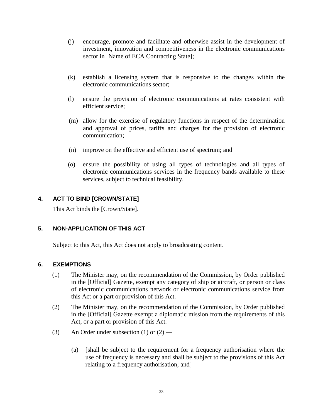- (j) encourage, promote and facilitate and otherwise assist in the development of investment, innovation and competitiveness in the electronic communications sector in [Name of ECA Contracting State];
- (k) establish a licensing system that is responsive to the changes within the electronic communications sector;
- (l) ensure the provision of electronic communications at rates consistent with efficient service;
- (m) allow for the exercise of regulatory functions in respect of the determination and approval of prices, tariffs and charges for the provision of electronic communication;
- (n) improve on the effective and efficient use of spectrum; and
- (o) ensure the possibility of using all types of technologies and all types of electronic communications services in the frequency bands available to these services, subject to technical feasibility.

#### <span id="page-22-0"></span>**4. ACT TO BIND [CROWN/STATE]**

This Act binds the [Crown/State].

#### <span id="page-22-1"></span>**5. NON-APPLICATION OF THIS ACT**

Subject to this Act, this Act does not apply to broadcasting content.

#### <span id="page-22-2"></span>**6. EXEMPTIONS**

- (1) The Minister may, on the recommendation of the Commission, by Order published in the [Official] Gazette, exempt any category of ship or aircraft, or person or class of electronic communications network or electronic communications service from this Act or a part or provision of this Act.
- (2) The Minister may, on the recommendation of the Commission, by Order published in the [Official] Gazette exempt a diplomatic mission from the requirements of this Act, or a part or provision of this Act.
- (3) An Order under subsection (1) or  $(2)$ 
	- (a) [shall be subject to the requirement for a frequency authorisation where the use of frequency is necessary and shall be subject to the provisions of this Act relating to a frequency authorisation; and]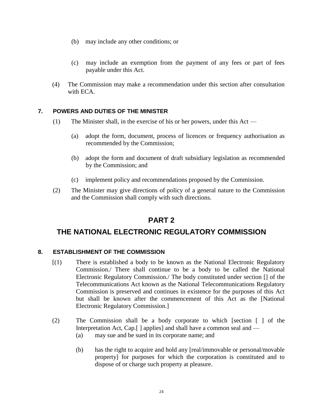- (b) may include any other conditions; or
- (c) may include an exemption from the payment of any fees or part of fees payable under this Act.
- (4) The Commission may make a recommendation under this section after consultation with ECA.

#### <span id="page-23-0"></span>**7. POWERS AND DUTIES OF THE MINISTER**

- (1) The Minister shall, in the exercise of his or her powers, under this Act
	- (a) adopt the form, document, process of licences or frequency authorisation as recommended by the Commission;
	- (b) adopt the form and document of draft subsidiary legislation as recommended by the Commission; and
	- (c) implement policy and recommendations proposed by the Commission.
- (2) The Minister may give directions of policy of a general nature to the Commission and the Commission shall comply with such directions.

# **PART 2**

# <span id="page-23-2"></span><span id="page-23-1"></span>**THE NATIONAL ELECTRONIC REGULATORY COMMISSION**

#### <span id="page-23-3"></span>**8. ESTABLISHMENT OF THE COMMISSION**

- [(1) There is established a body to be known as the National Electronic Regulatory Commission./ There shall continue to be a body to be called the National Electronic Regulatory Commission./ The body constituted under section [] of the Telecommunications Act known as the National Telecommunications Regulatory Commission is preserved and continues in existence for the purposes of this Act but shall be known after the commencement of this Act as the [National Electronic Regulatory Commission.]
- (2) The Commission shall be a body corporate to which [section [ ] of the Interpretation Act, Cap.[ ] applies] and shall have a common seal and —
	- (a) may sue and be sued in its corporate name; and
	- (b) has the right to acquire and hold any [real/immovable or personal/movable property] for purposes for which the corporation is constituted and to dispose of or charge such property at pleasure.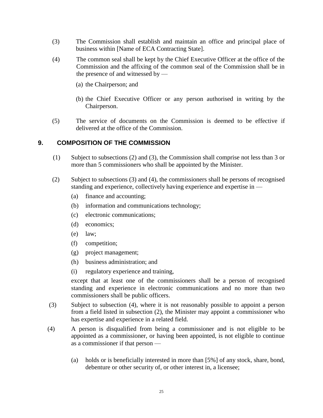- (3) The Commission shall establish and maintain an office and principal place of business within [Name of ECA Contracting State].
- (4) The common seal shall be kept by the Chief Executive Officer at the office of the Commission and the affixing of the common seal of the Commission shall be in the presence of and witnessed by —
	- (a) the Chairperson; and
	- (b) the Chief Executive Officer or any person authorised in writing by the Chairperson.
- (5) The service of documents on the Commission is deemed to be effective if delivered at the office of the Commission.

#### <span id="page-24-0"></span>**9. COMPOSITION OF THE COMMISSION**

- (1) Subject to subsections (2) and (3), the Commission shall comprise not less than 3 or more than 5 commissioners who shall be appointed by the Minister.
- (2) Subject to subsections (3) and (4), the commissioners shall be persons of recognised standing and experience, collectively having experience and expertise in —
	- (a) finance and accounting;
	- (b) information and communications technology;
	- (c) electronic communications;
	- (d) economics;
	- (e) law;
	- (f) competition;
	- (g) project management;
	- (h) business administration; and
	- (i) regulatory experience and training,

except that at least one of the commissioners shall be a person of recognised standing and experience in electronic communications and no more than two commissioners shall be public officers.

- (3) Subject to subsection (4), where it is not reasonably possible to appoint a person from a field listed in subsection (2), the Minister may appoint a commissioner who has expertise and experience in a related field.
- (4) A person is disqualified from being a commissioner and is not eligible to be appointed as a commissioner, or having been appointed, is not eligible to continue as a commissioner if that person —
	- (a) holds or is beneficially interested in more than [5%] of any stock, share, bond, debenture or other security of, or other interest in, a licensee;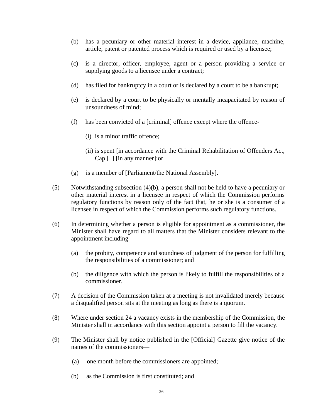- (b) has a pecuniary or other material interest in a device, appliance, machine, article, patent or patented process which is required or used by a licensee;
- (c) is a director, officer, employee, agent or a person providing a service or supplying goods to a licensee under a contract;
- (d) has filed for bankruptcy in a court or is declared by a court to be a bankrupt;
- (e) is declared by a court to be physically or mentally incapacitated by reason of unsoundness of mind;
- (f) has been convicted of a [criminal] offence except where the offence-
	- (i) is a minor traffic offence;
	- (ii) is spent [in accordance with the Criminal Rehabilitation of Offenders Act, Cap [ ] [in any manner];or
- (g) is a member of [Parliament/the National Assembly].
- (5) Notwithstanding subsection (4)(b), a person shall not be held to have a pecuniary or other material interest in a licensee in respect of which the Commission performs regulatory functions by reason only of the fact that, he or she is a consumer of a licensee in respect of which the Commission performs such regulatory functions.
- (6) In determining whether a person is eligible for appointment as a commissioner, the Minister shall have regard to all matters that the Minister considers relevant to the appointment including —
	- (a) the probity, competence and soundness of judgment of the person for fulfilling the responsibilities of a commissioner; and
	- (b) the diligence with which the person is likely to fulfill the responsibilities of a commissioner.
- (7) A decision of the Commission taken at a meeting is not invalidated merely because a disqualified person sits at the meeting as long as there is a quorum.
- (8) Where under section 24 a vacancy exists in the membership of the Commission, the Minister shall in accordance with this section appoint a person to fill the vacancy.
- (9) The Minister shall by notice published in the [Official] Gazette give notice of the names of the commissioners—
	- (a) one month before the commissioners are appointed;
	- (b) as the Commission is first constituted; and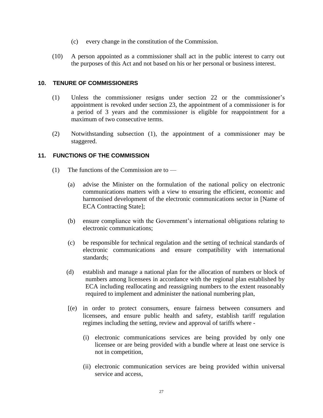- (c) every change in the constitution of the Commission.
- (10) A person appointed as a commissioner shall act in the public interest to carry out the purposes of this Act and not based on his or her personal or business interest.

#### <span id="page-26-0"></span>**10. TENURE OF COMMISSIONERS**

- (1) Unless the commissioner resigns under section 22 or the commissioner's appointment is revoked under section 23, the appointment of a commissioner is for a period of 3 years and the commissioner is eligible for reappointment for a maximum of two consecutive terms.
- (2) Notwithstanding subsection (1), the appointment of a commissioner may be staggered.

#### <span id="page-26-1"></span>**11. FUNCTIONS OF THE COMMISSION**

- (1) The functions of the Commission are to
	- (a) advise the Minister on the formulation of the national policy on electronic communications matters with a view to ensuring the efficient, economic and harmonised development of the electronic communications sector in [Name of ECA Contracting State];
	- (b) ensure compliance with the Government's international obligations relating to electronic communications;
	- (c) be responsible for technical regulation and the setting of technical standards of electronic communications and ensure compatibility with international standards;
	- (d) establish and manage a national plan for the allocation of numbers or block of numbers among licensees in accordance with the regional plan established by ECA including reallocating and reassigning numbers to the extent reasonably required to implement and administer the national numbering plan,
	- [(e) in order to protect consumers, ensure fairness between consumers and licensees, and ensure public health and safety, establish tariff regulation regimes including the setting, review and approval of tariffs where -
		- (i) electronic communications services are being provided by only one licensee or are being provided with a bundle where at least one service is not in competition,
		- (ii) electronic communication services are being provided within universal service and access,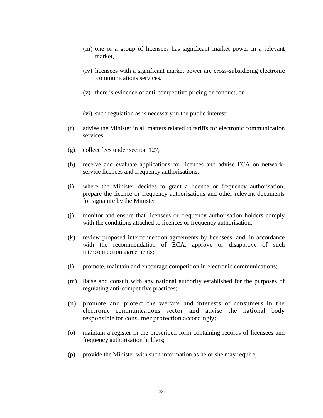- (iii) one or a group of licensees has significant market power in a relevant market,
- (iv) licensees with a significant market power are cross-subsidizing electronic communications services,
- (v) there is evidence of anti-competitive pricing or conduct, or
- (vi) such regulation as is necessary in the public interest;
- (f) advise the Minister in all matters related to tariffs for electronic communication services;
- (g) collect fees under section 127;
- (h) receive and evaluate applications for licences and advise ECA on networkservice licences and frequency authorisations;
- (i) where the Minister decides to grant a licence or frequency authorisation, prepare the licence or frequency authorisations and other relevant documents for signature by the Minister;
- (j) monitor and ensure that licensees or frequency authorisation holders comply with the conditions attached to licences or frequency authorisation;
- (k) review proposed interconnection agreements by licensees, and, in accordance with the recommendation of ECA, approve or disapprove of such interconnection agreements;
- (l) promote, maintain and encourage competition in electronic communications;
- (m) liaise and consult with any national authority established for the purposes of regulating anti-competitive practices;
- (n) promote and protect the welfare and interests of consumers in the electronic communications sector and advise the national body responsible for consumer protection accordingly;
- (o) maintain a register in the prescribed form containing records of licensees and frequency authorisation holders;
- (p) provide the Minister with such information as he or she may require;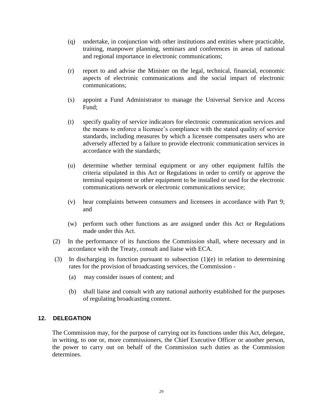- (q) undertake, in conjunction with other institutions and entities where practicable, training, manpower planning, seminars and conferences in areas of national and regional importance in electronic communications;
- (r) report to and advise the Minister on the legal, technical, financial, economic aspects of electronic communications and the social impact of electronic communications;
- (s) appoint a Fund Administrator to manage the Universal Service and Access Fund;
- (t) specify quality of service indicators for electronic communication services and the means to enforce a licensee's compliance with the stated quality of service standards, including measures by which a licensee compensates users who are adversely affected by a failure to provide electronic communication services in accordance with the standards;
- (u) determine whether terminal equipment or any other equipment fulfils the criteria stipulated in this Act or Regulations in order to certify or approve the terminal equipment or other equipment to be installed or used for the electronic communications network or electronic communications service;
- (v) hear complaints between consumers and licensees in accordance with Part 9; and
- (w) perform such other functions as are assigned under this Act or Regulations made under this Act.
- (2) In the performance of its functions the Commission shall, where necessary and in accordance with the Treaty, consult and liaise with ECA.
- (3) In discharging its function pursuant to subsection  $(1)(e)$  in relation to determining rates for the provision of broadcasting services, the Commission -
	- (a)may consider issues of content; and
	- (b) shall liaise and consult with any national authority established for the purposes of regulating broadcasting content.

#### <span id="page-28-0"></span>**12. DELEGATION**

The Commission may, for the purpose of carrying out its functions under this Act, delegate, in writing, to one or, more commissioners, the Chief Executive Officer or another person, the power to carry out on behalf of the Commission such duties as the Commission determines.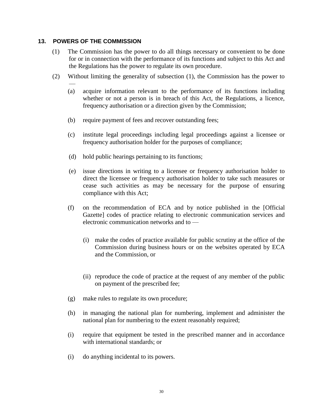#### <span id="page-29-0"></span>**13. POWERS OF THE COMMISSION**

- (1) The Commission has the power to do all things necessary or convenient to be done for or in connection with the performance of its functions and subject to this Act and the Regulations has the power to regulate its own procedure.
- (2) Without limiting the generality of subsection (1), the Commission has the power to
	- (a) acquire information relevant to the performance of its functions including whether or not a person is in breach of this Act, the Regulations, a licence, frequency authorisation or a direction given by the Commission;
	- (b) require payment of fees and recover outstanding fees;
	- (c) institute legal proceedings including legal proceedings against a licensee or frequency authorisation holder for the purposes of compliance;
	- (d) hold public hearings pertaining to its functions;
	- (e) issue directions in writing to a licensee or frequency authorisation holder to direct the licensee or frequency authorisation holder to take such measures or cease such activities as may be necessary for the purpose of ensuring compliance with this Act;
	- (f) on the recommendation of ECA and by notice published in the [Official Gazette] codes of practice relating to electronic communication services and electronic communication networks and to —
		- (i) make the codes of practice available for public scrutiny at the office of the Commission during business hours or on the websites operated by ECA and the Commission, or
		- (ii) reproduce the code of practice at the request of any member of the public on payment of the prescribed fee;
	- (g) make rules to regulate its own procedure;
	- (h) in managing the national plan for numbering, implement and administer the national plan for numbering to the extent reasonably required;
	- (i) require that equipment be tested in the prescribed manner and in accordance with international standards; or
	- (i) do anything incidental to its powers.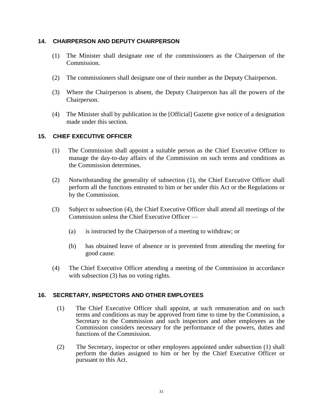#### <span id="page-30-0"></span>**14. CHAIRPERSON AND DEPUTY CHAIRPERSON**

- (1) The Minister shall designate one of the commissioners as the Chairperson of the Commission.
- (2) The commissioners shall designate one of their number as the Deputy Chairperson.
- (3) Where the Chairperson is absent, the Deputy Chairperson has all the powers of the Chairperson.
- (4) The Minister shall by publication in the [Official] Gazette give notice of a designation made under this section.

#### <span id="page-30-1"></span>**15. CHIEF EXECUTIVE OFFICER**

- (1) The Commission shall appoint a suitable person as the Chief Executive Officer to manage the day-to-day affairs of the Commission on such terms and conditions as the Commission determines.
- (2) Notwithstanding the generality of subsection (1), the Chief Executive Officer shall perform all the functions entrusted to him or her under this Act or the Regulations or by the Commission.
- (3) Subject to subsection (4), the Chief Executive Officer shall attend all meetings of the Commission unless the Chief Executive Officer —
	- (a) is instructed by the Chairperson of a meeting to withdraw; or
	- (b) has obtained leave of absence or is prevented from attending the meeting for good cause.
- (4) The Chief Executive Officer attending a meeting of the Commission in accordance with subsection (3) has no voting rights.

#### <span id="page-30-2"></span>**16. SECRETARY, INSPECTORS AND OTHER EMPLOYEES**

- (1) The Chief Executive Officer shall appoint, at such remuneration and on such terms and conditions as may be approved from time to time by the Commission, a Secretary to the Commission and such inspectors and other employees as the Commission considers necessary for the performance of the powers, duties and functions of the Commission.
- (2) The Secretary, inspector or other employees appointed under subsection (1) shall perform the duties assigned to him or her by the Chief Executive Officer or pursuant to this Act.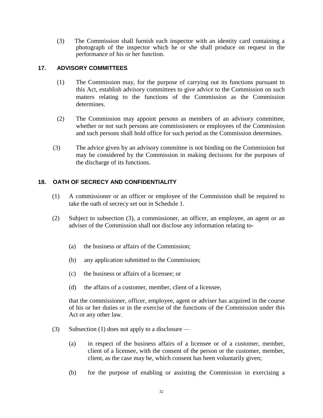(3) The Commission shall furnish each inspector with an identity card containing a photograph of the inspector which he or she shall produce on request in the performance of his or her function.

#### <span id="page-31-0"></span>**17. ADVISORY COMMITTEES**

- (1) The Commission may, for the purpose of carrying out its functions pursuant to this Act, establish advisory committees to give advice to the Commission on such matters relating to the functions of the Commission as the Commission determines.
- (2) The Commission may appoint persons as members of an advisory committee, whether or not such persons are commissioners or employees of the Commission and such persons shall hold office for such period as the Commission determines.
- (3) The advice given by an advisory committee is not binding on the Commission but may be considered by the Commission in making decisions for the purposes of the discharge of its functions.

#### <span id="page-31-1"></span>**18. OATH OF SECRECY AND CONFIDENTIALITY**

- (1) A commissioner or an officer or employee of the Commission shall be required to take the oath of secrecy set out in Schedule 1.
- (2) Subject to subsection (3), a commissioner, an officer, an employee, an agent or an adviser of the Commission shall not disclose any information relating to-
	- (a) the business or affairs of the Commission;
	- (b) any application submitted to the Commission;
	- (c) the business or affairs of a licensee; or
	- (d) the affairs of a customer, member, client of a licensee,

that the commissioner, officer, employee, agent or adviser has acquired in the course of his or her duties or in the exercise of the functions of the Commission under this Act or any other law.

- (3) Subsection (1) does not apply to a disclosure
	- (a) in respect of the business affairs of a licensee or of a customer, member, client of a licensee, with the consent of the person or the customer, member, client, as the case may be, which consent has been voluntarily given;
	- (b) for the purpose of enabling or assisting the Commission in exercising a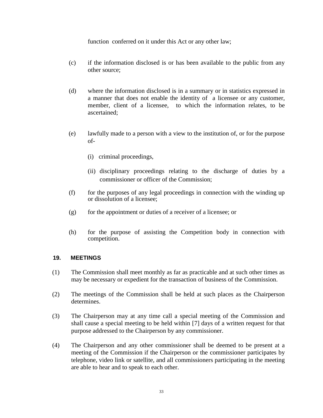function conferred on it under this Act or any other law;

- (c) if the information disclosed is or has been available to the public from any other source;
- (d) where the information disclosed is in a summary or in statistics expressed in a manner that does not enable the identity of a licensee or any customer, member, client of a licensee, to which the information relates, to be ascertained;
- (e) lawfully made to a person with a view to the institution of, or for the purpose of-
	- (i) criminal proceedings,
	- (ii) disciplinary proceedings relating to the discharge of duties by a commissioner or officer of the Commission;
- (f) for the purposes of any legal proceedings in connection with the winding up or dissolution of a licensee;
- $(g)$  for the appointment or duties of a receiver of a licensee; or
- (h) for the purpose of assisting the Competition body in connection with competition.

#### <span id="page-32-0"></span>**19. MEETINGS**

- (1) The Commission shall meet monthly as far as practicable and at such other times as may be necessary or expedient for the transaction of business of the Commission.
- (2) The meetings of the Commission shall be held at such places as the Chairperson determines.
- (3) The Chairperson may at any time call a special meeting of the Commission and shall cause a special meeting to be held within [7] days of a written request for that purpose addressed to the Chairperson by any commissioner.
- (4) The Chairperson and any other commissioner shall be deemed to be present at a meeting of the Commission if the Chairperson or the commissioner participates by telephone, video link or satellite, and all commissioners participating in the meeting are able to hear and to speak to each other.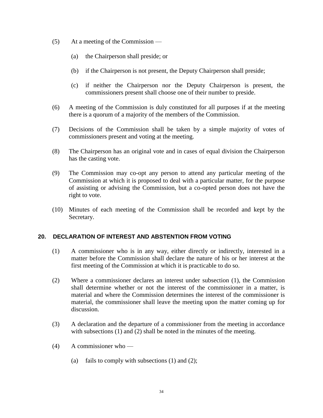- (5) At a meeting of the Commission
	- (a) the Chairperson shall preside; or
	- (b) if the Chairperson is not present, the Deputy Chairperson shall preside;
	- (c) if neither the Chairperson nor the Deputy Chairperson is present, the commissioners present shall choose one of their number to preside.
- (6) A meeting of the Commission is duly constituted for all purposes if at the meeting there is a quorum of a majority of the members of the Commission.
- (7) Decisions of the Commission shall be taken by a simple majority of votes of commissioners present and voting at the meeting.
- (8) The Chairperson has an original vote and in cases of equal division the Chairperson has the casting vote.
- (9) The Commission may co-opt any person to attend any particular meeting of the Commission at which it is proposed to deal with a particular matter, for the purpose of assisting or advising the Commission, but a co-opted person does not have the right to vote.
- (10) Minutes of each meeting of the Commission shall be recorded and kept by the Secretary.

#### <span id="page-33-0"></span>**20. DECLARATION OF INTEREST AND ABSTENTION FROM VOTING**

- (1) A commissioner who is in any way, either directly or indirectly, interested in a matter before the Commission shall declare the nature of his or her interest at the first meeting of the Commission at which it is practicable to do so.
- (2) Where a commissioner declares an interest under subsection (1), the Commission shall determine whether or not the interest of the commissioner in a matter, is material and where the Commission determines the interest of the commissioner is material, the commissioner shall leave the meeting upon the matter coming up for discussion.
- (3) A declaration and the departure of a commissioner from the meeting in accordance with subsections (1) and (2) shall be noted in the minutes of the meeting.
- (4) A commissioner who
	- (a) fails to comply with subsections  $(1)$  and  $(2)$ ;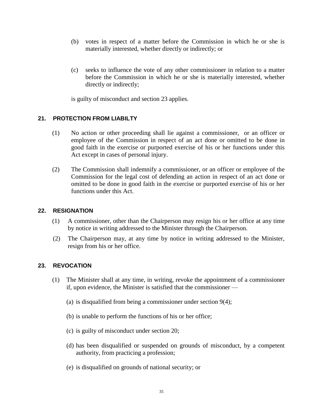- (b) votes in respect of a matter before the Commission in which he or she is materially interested, whether directly or indirectly; or
- (c) seeks to influence the vote of any other commissioner in relation to a matter before the Commission in which he or she is materially interested, whether directly or indirectly;

is guilty of misconduct and section 23 applies.

#### <span id="page-34-0"></span>**21. PROTECTION FROM LIABILTY**

- (1) No action or other proceeding shall lie against a commissioner, or an officer or employee of the Commission in respect of an act done or omitted to be done in good faith in the exercise or purported exercise of his or her functions under this Act except in cases of personal injury.
- (2) The Commission shall indemnify a commissioner, or an officer or employee of the Commission for the legal cost of defending an action in respect of an act done or omitted to be done in good faith in the exercise or purported exercise of his or her functions under this Act.

#### <span id="page-34-1"></span>**22. RESIGNATION**

- (1) A commissioner, other than the Chairperson may resign his or her office at any time by notice in writing addressed to the Minister through the Chairperson.
- (2) The Chairperson may, at any time by notice in writing addressed to the Minister, resign from his or her office.

#### <span id="page-34-2"></span>**23. REVOCATION**

- (1) The Minister shall at any time, in writing, revoke the appointment of a commissioner if, upon evidence, the Minister is satisfied that the commissioner —
	- (a) is disqualified from being a commissioner under section 9(4);
	- (b) is unable to perform the functions of his or her office;
	- (c) is guilty of misconduct under section 20;
	- (d) has been disqualified or suspended on grounds of misconduct, by a competent authority, from practicing a profession;
	- (e) is disqualified on grounds of national security; or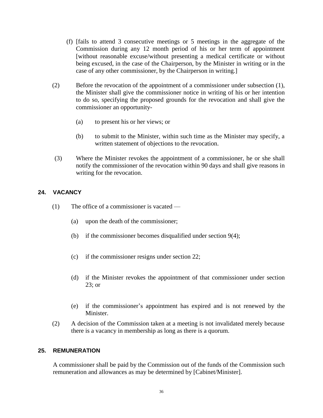- (f) [fails to attend 3 consecutive meetings or 5 meetings in the aggregate of the Commission during any 12 month period of his or her term of appointment [without reasonable excuse/without presenting a medical certificate or without being excused, in the case of the Chairperson, by the Minister in writing or in the case of any other commissioner, by the Chairperson in writing.]
- (2) Before the revocation of the appointment of a commissioner under subsection (1), the Minister shall give the commissioner notice in writing of his or her intention to do so, specifying the proposed grounds for the revocation and shall give the commissioner an opportunity-
	- (a) to present his or her views; or
	- (b) to submit to the Minister, within such time as the Minister may specify, a written statement of objections to the revocation.
- (3) Where the Minister revokes the appointment of a commissioner, he or she shall notify the commissioner of the revocation within 90 days and shall give reasons in writing for the revocation.

#### <span id="page-35-0"></span>**24. VACANCY**

- (1) The office of a commissioner is vacated
	- (a) upon the death of the commissioner;
	- (b) if the commissioner becomes disqualified under section 9(4);
	- (c) if the commissioner resigns under section 22;
	- (d) if the Minister revokes the appointment of that commissioner under section 23; or
	- (e) if the commissioner's appointment has expired and is not renewed by the Minister.
- (2) A decision of the Commission taken at a meeting is not invalidated merely because there is a vacancy in membership as long as there is a quorum.

#### <span id="page-35-1"></span>**25. REMUNERATION**

A commissioner shall be paid by the Commission out of the funds of the Commission such remuneration and allowances as may be determined by [Cabinet/Minister].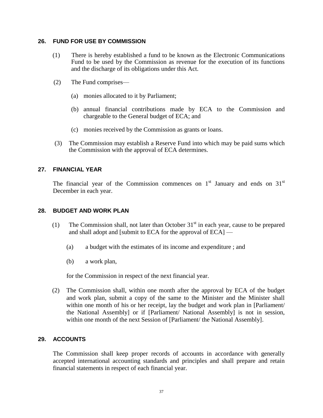### **26. FUND FOR USE BY COMMISSION**

- (1) There is hereby established a fund to be known as the Electronic Communications Fund to be used by the Commission as revenue for the execution of its functions and the discharge of its obligations under this Act.
- (2) The Fund comprises—
	- (a) monies allocated to it by Parliament;
	- (b) annual financial contributions made by ECA to the Commission and chargeable to the General budget of ECA; and
	- (c) monies received by the Commission as grants or loans.
- (3) The Commission may establish a Reserve Fund into which may be paid sums which the Commission with the approval of ECA determines.

### **27. FINANCIAL YEAR**

The financial year of the Commission commences on  $1<sup>st</sup>$  January and ends on  $31<sup>st</sup>$ December in each year.

### **28. BUDGET AND WORK PLAN**

- (1) The Commission shall, not later than October  $31<sup>st</sup>$  in each year, cause to be prepared and shall adopt and [submit to ECA for the approval of ECA] —
	- (a) a budget with the estimates of its income and expenditure ; and
	- (b) a work plan,

for the Commission in respect of the next financial year.

(2) The Commission shall, within one month after the approval by ECA of the budget and work plan, submit a copy of the same to the Minister and the Minister shall within one month of his or her receipt, lay the budget and work plan in [Parliament/ the National Assembly] or if [Parliament/ National Assembly] is not in session, within one month of the next Session of [Parliament/ the National Assembly].

### **29. ACCOUNTS**

The Commission shall keep proper records of accounts in accordance with generally accepted international accounting standards and principles and shall prepare and retain financial statements in respect of each financial year.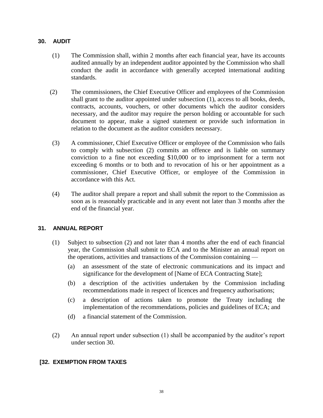### **30. AUDIT**

- (1) The Commission shall, within 2 months after each financial year, have its accounts audited annually by an independent auditor appointed by the Commission who shall conduct the audit in accordance with generally accepted international auditing standards.
- (2) The commissioners, the Chief Executive Officer and employees of the Commission shall grant to the auditor appointed under subsection (1), access to all books, deeds, contracts, accounts, vouchers, or other documents which the auditor considers necessary, and the auditor may require the person holding or accountable for such document to appear, make a signed statement or provide such information in relation to the document as the auditor considers necessary.
- (3) A commissioner, Chief Executive Officer or employee of the Commission who fails to comply with subsection (2) commits an offence and is liable on summary conviction to a fine not exceeding \$10,000 or to imprisonment for a term not exceeding 6 months or to both and to revocation of his or her appointment as a commissioner, Chief Executive Officer, or employee of the Commission in accordance with this Act.
- (4) The auditor shall prepare a report and shall submit the report to the Commission as soon as is reasonably practicable and in any event not later than 3 months after the end of the financial year.

### **31. ANNUAL REPORT**

- (1) Subject to subsection (2) and not later than 4 months after the end of each financial year, the Commission shall submit to ECA and to the Minister an annual report on the operations, activities and transactions of the Commission containing —
	- (a) an assessment of the state of electronic communications and its impact and significance for the development of [Name of ECA Contracting State];
	- (b) a description of the activities undertaken by the Commission including recommendations made in respect of licences and frequency authorisations;
	- (c) a description of actions taken to promote the Treaty including the implementation of the recommendations, policies and guidelines of ECA; and
	- (d) a financial statement of the Commission.
- (2) An annual report under subsection (1) shall be accompanied by the auditor's report under section 30.

#### **[32. EXEMPTION FROM TAXES**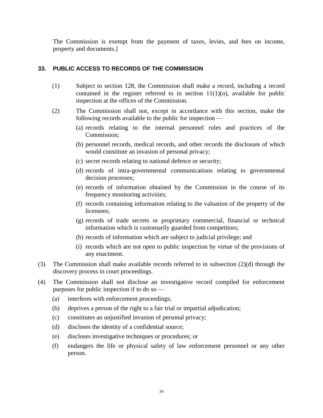The Commission is exempt from the payment of taxes, levies, and fees on income, property and documents.]

# **33. PUBLIC ACCESS TO RECORDS OF THE COMMISSION**

- (1) Subject to section 128, the Commission shall make a record, including a record contained in the register referred to in section  $11(1)(o)$ , available for public inspection at the offices of the Commission.
- (2) The Commission shall not, except in accordance with this section, make the following records available to the public for inspection —
	- (a) records relating to the internal personnel rules and practices of the Commission;
	- (b) personnel records, medical records, and other records the disclosure of which would constitute an invasion of personal privacy;
	- (c) secret records relating to national defence or security;
	- (d) records of intra-governmental communications relating to governmental decision processes;
	- (e) records of information obtained by the Commission in the course of its frequency monitoring activities;
	- (f) records containing information relating to the valuation of the property of the licensees;
	- (g) records of trade secrets or proprietary commercial, financial or technical information which is customarily guarded from competitors;
	- (h) records of information which are subject to judicial privilege; and
	- (i) records which are not open to public inspection by virtue of the provisions of any enactment.
- (3) The Commission shall make available records referred to in subsection (2)(d) through the discovery process in court proceedings.
- (4) The Commission shall not disclose an investigative record compiled for enforcement purposes for public inspection if to do so —
	- (a) interferes with enforcement proceedings;
	- (b) deprives a person of the right to a fair trial or impartial adjudication;
	- (c) constitutes an unjustified invasion of personal privacy;
	- (d) discloses the identity of a confidential source;
	- (e) discloses investigative techniques or procedures; or
	- (f) endangers the life or physical safety of law enforcement personnel or any other person.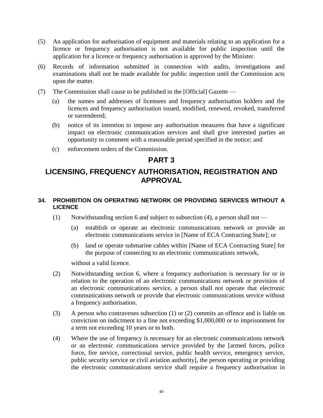- (5) An application for authorisation of equipment and materials relating to an application for a licence or frequency authorisation is not available for public inspection until the application for a licence or frequency authorisation is approved by the Minister.
- (6) Records of information submitted in connection with audits, investigations and examinations shall not be made available for public inspection until the Commission acts upon the matter.
- (7) The Commission shall cause to be published in the [Official] Gazette
	- (a) the names and addresses of licensees and frequency authorisation holders and the licences and frequency authorisation issued, modified, renewed, revoked, transferred or surrendered;
	- (b) notice of its intention to impose any authorisation measures that have a significant impact on electronic communication services and shall give interested parties an opportunity to comment with a reasonable period specified in the notice; and
	- (c) enforcement orders of the Commission.

# **PART 3**

# **LICENSING, FREQUENCY AUTHORISATION, REGISTRATION AND APPROVAL**

# **34. PROHIBITION ON OPERATING NETWORK OR PROVIDING SERVICES WITHOUT A LICENCE**

- (1) Notwithstanding section 6 and subject to subsection (4), a person shall not
	- (a) establish or operate an electronic communications network or provide an electronic communications service in [Name of ECA Contracting State]; or
	- (b) land or operate submarine cables within [Name of ECA Contracting State] for the purpose of connecting to an electronic communications network,

without a valid licence.

- (2) Notwithstanding section 6, where a frequency authorisation is necessary for or in relation to the operation of an electronic communications network or provision of an electronic communications service, a person shall not operate that electronic communications network or provide that electronic communications service without a frequency authorisation.
- (3) A person who contravenes subsection (1) or (2) commits an offence and is liable on conviction on indictment to a fine not exceeding \$1,000,000 or to imprisonment for a term not exceeding 10 years or to both.
- (4) Where the use of frequency is necessary for an electronic communications network or an electronic communications service provided by the [armed forces, police force, fire service, correctional service, public health service, emergency service, public security service or civil aviation authority], the person operating or providing the electronic communications service shall require a frequency authorisation in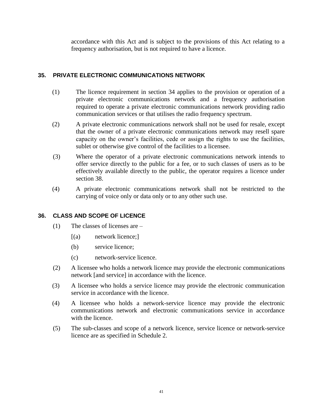accordance with this Act and is subject to the provisions of this Act relating to a frequency authorisation, but is not required to have a licence.

# **35. PRIVATE ELECTRONIC COMMUNICATIONS NETWORK**

- (1) The licence requirement in section 34 applies to the provision or operation of a private electronic communications network and a frequency authorisation required to operate a private electronic communications network providing radio communication services or that utilises the radio frequency spectrum.
- (2) A private electronic communications network shall not be used for resale, except that the owner of a private electronic communications network may resell spare capacity on the owner's facilities, cede or assign the rights to use the facilities, sublet or otherwise give control of the facilities to a licensee.
- (3) Where the operator of a private electronic communications network intends to offer service directly to the public for a fee, or to such classes of users as to be effectively available directly to the public, the operator requires a licence under section 38.
- (4) A private electronic communications network shall not be restricted to the carrying of voice only or data only or to any other such use.

### **36. CLASS AND SCOPE OF LICENCE**

- (1) The classes of licenses are
	- [(a) network licence;]
	- (b) service licence;
	- (c) network-service licence.
- (2) A licensee who holds a network licence may provide the electronic communications network [and service] in accordance with the licence.
- (3) A licensee who holds a service licence may provide the electronic communication service in accordance with the licence.
- (4) A licensee who holds a network-service licence may provide the electronic communications network and electronic communications service in accordance with the licence.
- (5) The sub-classes and scope of a network licence, service licence or network-service licence are as specified in Schedule 2.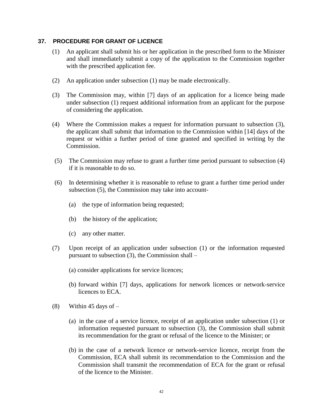### **37. PROCEDURE FOR GRANT OF LICENCE**

- (1) An applicant shall submit his or her application in the prescribed form to the Minister and shall immediately submit a copy of the application to the Commission together with the prescribed application fee.
- (2) An application under subsection (1) may be made electronically.
- (3) The Commission may, within [7] days of an application for a licence being made under subsection (1) request additional information from an applicant for the purpose of considering the application.
- (4) Where the Commission makes a request for information pursuant to subsection (3), the applicant shall submit that information to the Commission within [14] days of the request or within a further period of time granted and specified in writing by the Commission.
- (5) The Commission may refuse to grant a further time period pursuant to subsection (4) if it is reasonable to do so.
- (6) In determining whether it is reasonable to refuse to grant a further time period under subsection (5), the Commission may take into account-
	- (a) the type of information being requested;
	- (b) the history of the application;
	- (c) any other matter.
- (7) Upon receipt of an application under subsection (1) or the information requested pursuant to subsection (3), the Commission shall –
	- (a) consider applications for service licences;
	- (b) forward within [7] days, applications for network licences or network-service licences to ECA.
- $(8)$  Within 45 days of  $-$ 
	- (a) in the case of a service licence, receipt of an application under subsection (1) or information requested pursuant to subsection (3), the Commission shall submit its recommendation for the grant or refusal of the licence to the Minister; or
	- (b) in the case of a network licence or network-service licence, receipt from the Commission, ECA shall submit its recommendation to the Commission and the Commission shall transmit the recommendation of ECA for the grant or refusal of the licence to the Minister.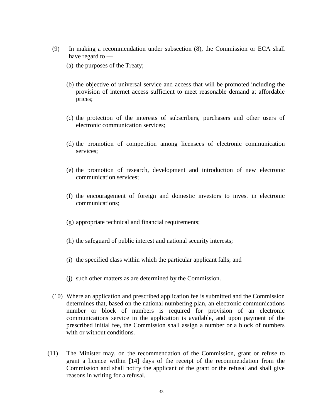- (9) In making a recommendation under subsection (8), the Commission or ECA shall have regard to —
	- (a) the purposes of the Treaty;
	- (b) the objective of universal service and access that will be promoted including the provision of internet access sufficient to meet reasonable demand at affordable prices;
	- (c) the protection of the interests of subscribers, purchasers and other users of electronic communication services;
	- (d) the promotion of competition among licensees of electronic communication services;
	- (e) the promotion of research, development and introduction of new electronic communication services;
	- (f) the encouragement of foreign and domestic investors to invest in electronic communications;
	- (g) appropriate technical and financial requirements;
	- (h) the safeguard of public interest and national security interests;
	- (i) the specified class within which the particular applicant falls; and
	- (j) such other matters as are determined by the Commission.
- (10) Where an application and prescribed application fee is submitted and the Commission determines that, based on the national numbering plan, an electronic communications number or block of numbers is required for provision of an electronic communications service in the application is available, and upon payment of the prescribed initial fee, the Commission shall assign a number or a block of numbers with or without conditions.
- (11) The Minister may, on the recommendation of the Commission, grant or refuse to grant a licence within [14] days of the receipt of the recommendation from the Commission and shall notify the applicant of the grant or the refusal and shall give reasons in writing for a refusal.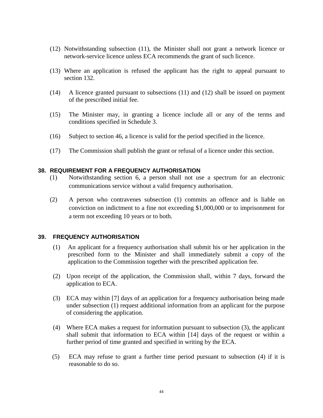- (12) Notwithstanding subsection (11), the Minister shall not grant a network licence or network-service licence unless ECA recommends the grant of such licence.
- (13) Where an application is refused the applicant has the right to appeal pursuant to section 132.
- (14) A licence granted pursuant to subsections (11) and (12) shall be issued on payment of the prescribed initial fee.
- (15) The Minister may, in granting a licence include all or any of the terms and conditions specified in Schedule 3.
- (16) Subject to section 46, a licence is valid for the period specified in the licence.
- (17) The Commission shall publish the grant or refusal of a licence under this section.

### **38. REQUIREMENT FOR A FREQUENCY AUTHORISATION**

- (1) Notwithstanding section 6, a person shall not use a spectrum for an electronic communications service without a valid frequency authorisation.
- (2) A person who contravenes subsection (1) commits an offence and is liable on conviction on indictment to a fine not exceeding \$1,000,000 or to imprisonment for a term not exceeding 10 years or to both.

#### **39. FREQUENCY AUTHORISATION**

- (1) An applicant for a frequency authorisation shall submit his or her application in the prescribed form to the Minister and shall immediately submit a copy of the application to the Commission together with the prescribed application fee.
- (2) Upon receipt of the application, the Commission shall, within 7 days, forward the application to ECA.
- (3) ECA may within [7] days of an application for a frequency authorisation being made under subsection (1) request additional information from an applicant for the purpose of considering the application.
- (4) Where ECA makes a request for information pursuant to subsection (3), the applicant shall submit that information to ECA within [14] days of the request or within a further period of time granted and specified in writing by the ECA.
- (5) ECA may refuse to grant a further time period pursuant to subsection (4) if it is reasonable to do so.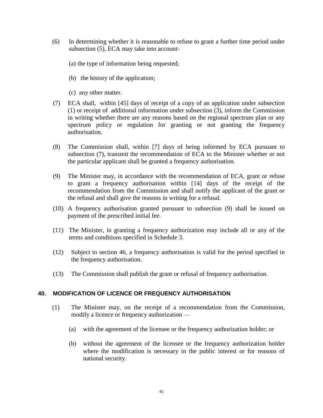- (6) In determining whether it is reasonable to refuse to grant a further time period under subsection (5), ECA may take into account-
	- (a) the type of information being requested;
	- (b) the history of the application;
	- (c) any other matter.
- (7) ECA shall, within [45] days of receipt of a copy of an application under subsection (1) or receipt of additional information under subsection (3), inform the Commission in writing whether there are any reasons based on the regional spectrum plan or any spectrum policy or regulation for granting or not granting the frequency authorisation.
- (8) The Commission shall, within [7] days of being informed by ECA pursuant to subsection (7), transmit the recommendation of ECA to the Minister whether or not the particular applicant shall be granted a frequency authorisation.
- (9) The Minister may, in accordance with the recommendation of ECA, grant or refuse to grant a frequency authorisation within [14] days of the receipt of the recommendation from the Commission and shall notify the applicant of the grant or the refusal and shall give the reasons in writing for a refusal.
- (10) A frequency authorisation granted pursuant to subsection (9) shall be issued on payment of the prescribed initial fee.
- (11) The Minister, in granting a frequency authorization may include all or any of the terms and conditions specified in Schedule 3.
- (12) Subject to section 46, a frequency authorisation is valid for the period specified in the frequency authorisation.
- (13) The Commission shall publish the grant or refusal of frequency authorisation.

#### **40. MODIFICATION OF LICENCE OR FREQUENCY AUTHORISATION**

- (1) The Minister may, on the receipt of a recommendation from the Commission, modify a licence or frequency authorization —
	- (a) with the agreement of the licensee or the frequency authorization holder; or
	- (b) without the agreement of the licensee or the frequency authorization holder where the modification is necessary in the public interest or for reasons of national security.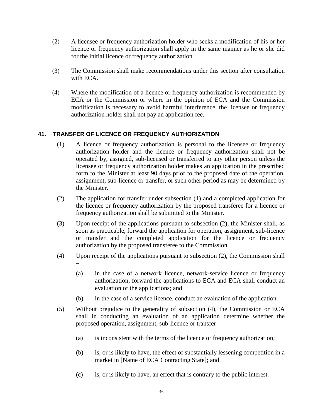- (2) A licensee or frequency authorization holder who seeks a modification of his or her licence or frequency authorization shall apply in the same manner as he or she did for the initial licence or frequency authorization.
- (3) The Commission shall make recommendations under this section after consultation with ECA.
- (4) Where the modification of a licence or frequency authorization is recommended by ECA or the Commission or where in the opinion of ECA and the Commission modification is necessary to avoid harmful interference, the licensee or frequency authorization holder shall not pay an application fee.

# **41. TRANSFER OF LICENCE OR FREQUENCY AUTHORIZATION**

- (1) A licence or frequency authorization is personal to the licensee or frequency authorization holder and the licence or frequency authorization shall not be operated by, assigned, sub-licensed or transferred to any other person unless the licensee or frequency authorization holder makes an application in the prescribed form to the Minister at least 90 days prior to the proposed date of the operation, assignment, sub-licence or transfer, or such other period as may be determined by the Minister.
- (2) The application for transfer under subsection (1) and a completed application for the licence or frequency authorization by the proposed transferee for a licence or frequency authorization shall be submitted to the Minister.
- (3) Upon receipt of the applications pursuant to subsection (2), the Minister shall, as soon as practicable, forward the application for operation, assignment, sub-licence or transfer and the completed application for the licence or frequency authorization by the proposed transferee to the Commission.
- (4) Upon receipt of the applications pursuant to subsection (2), the Commission shall –
	- (a) in the case of a network licence, network-service licence or frequency authorization, forward the applications to ECA and ECA shall conduct an evaluation of the applications; and
	- (b) in the case of a service licence, conduct an evaluation of the application.
- (5) Without prejudice to the generality of subsection (4), the Commission or ECA shall in conducting an evaluation of an application determine whether the proposed operation, assignment, sub-licence or transfer –
	- (a) is inconsistent with the terms of the licence or frequency authorization;
	- (b) is, or is likely to have, the effect of substantially lessening competition in a market in [Name of ECA Contracting State]; and
	- (c) is, or is likely to have, an effect that is contrary to the public interest.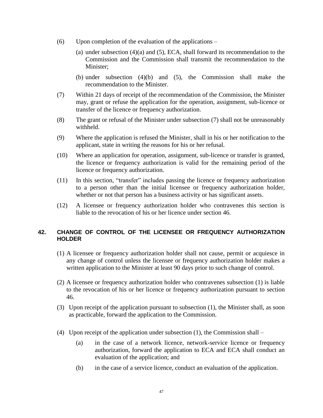- (6) Upon completion of the evaluation of the applications
	- (a) under subsection (4)(a) and (5), ECA, shall forward its recommendation to the Commission and the Commission shall transmit the recommendation to the Minister;
	- (b) under subsection (4)(b) and (5), the Commission shall make the recommendation to the Minister.
- (7) Within 21 days of receipt of the recommendation of the Commission, the Minister may, grant or refuse the application for the operation, assignment, sub-licence or transfer of the licence or frequency authorization.
- (8) The grant or refusal of the Minister under subsection (7) shall not be unreasonably withheld.
- (9) Where the application is refused the Minister, shall in his or her notification to the applicant, state in writing the reasons for his or her refusal.
- (10) Where an application for operation, assignment, sub-licence or transfer is granted, the licence or frequency authorization is valid for the remaining period of the licence or frequency authorization.
- (11) In this section, "transfer" includes passing the licence or frequency authorization to a person other than the initial licensee or frequency authorization holder, whether or not that person has a business activity or has significant assets.
- (12) A licensee or frequency authorization holder who contravenes this section is liable to the revocation of his or her licence under section 46.

# **42. CHANGE OF CONTROL OF THE LICENSEE OR FREQUENCY AUTHORIZATION HOLDER**

- (1) A licensee or frequency authorization holder shall not cause, permit or acquiesce in any change of control unless the licensee or frequency authorization holder makes a written application to the Minister at least 90 days prior to such change of control.
- (2) A licensee or frequency authorization holder who contravenes subsection (1) is liable to the revocation of his or her licence or frequency authorization pursuant to section 46.
- (3) Upon receipt of the application pursuant to subsection (1), the Minister shall, as soon as practicable, forward the application to the Commission.
- (4) Upon receipt of the application under subsection (1), the Commission shall
	- (a) in the case of a network licence, network-service licence or frequency authorization, forward the application to ECA and ECA shall conduct an evaluation of the application; and
	- (b) in the case of a service licence, conduct an evaluation of the application.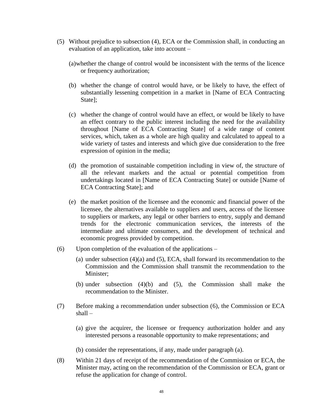- (5) Without prejudice to subsection (4), ECA or the Commission shall, in conducting an evaluation of an application, take into account –
	- (a)whether the change of control would be inconsistent with the terms of the licence or frequency authorization;
	- (b) whether the change of control would have, or be likely to have, the effect of substantially lessening competition in a market in [Name of ECA Contracting State];
	- (c) whether the change of control would have an effect, or would be likely to have an effect contrary to the public interest including the need for the availability throughout [Name of ECA Contracting State] of a wide range of content services, which, taken as a whole are high quality and calculated to appeal to a wide variety of tastes and interests and which give due consideration to the free expression of opinion in the media;
	- (d) the promotion of sustainable competition including in view of, the structure of all the relevant markets and the actual or potential competition from undertakings located in [Name of ECA Contracting State] or outside [Name of ECA Contracting State]; and
	- (e) the market position of the licensee and the economic and financial power of the licensee, the alternatives available to suppliers and users, access of the licensee to suppliers or markets, any legal or other barriers to entry, supply and demand trends for the electronic communication services, the interests of the intermediate and ultimate consumers, and the development of technical and economic progress provided by competition.
- (6) Upon completion of the evaluation of the applications
	- (a) under subsection (4)(a) and (5), ECA, shall forward its recommendation to the Commission and the Commission shall transmit the recommendation to the Minister;
	- (b) under subsection (4)(b) and (5), the Commission shall make the recommendation to the Minister.
- (7) Before making a recommendation under subsection (6), the Commission or ECA shall –
	- (a) give the acquirer, the licensee or frequency authorization holder and any interested persons a reasonable opportunity to make representations; and
	- (b) consider the representations, if any, made under paragraph (a).
- (8) Within 21 days of receipt of the recommendation of the Commission or ECA, the Minister may, acting on the recommendation of the Commission or ECA, grant or refuse the application for change of control.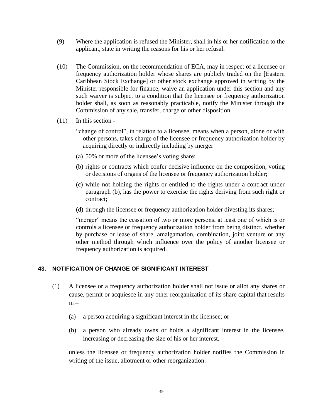- (9) Where the application is refused the Minister, shall in his or her notification to the applicant, state in writing the reasons for his or her refusal.
- (10) The Commission, on the recommendation of ECA, may in respect of a licensee or frequency authorization holder whose shares are publicly traded on the [Eastern Caribbean Stock Exchange] or other stock exchange approved in writing by the Minister responsible for finance, waive an application under this section and any such waiver is subject to a condition that the licensee or frequency authorization holder shall, as soon as reasonably practicable, notify the Minister through the Commission of any sale, transfer, charge or other disposition.
- (11) In this section
	- "change of control", in relation to a licensee, means when a person, alone or with other persons, takes charge of the licensee or frequency authorization holder by acquiring directly or indirectly including by merger –
	- (a) 50% or more of the licensee's voting share;
	- (b) rights or contracts which confer decisive influence on the composition, voting or decisions of organs of the licensee or frequency authorization holder;
	- (c) while not holding the rights or entitled to the rights under a contract under paragraph (b), has the power to exercise the rights deriving from such right or contract;
	- (d) through the licensee or frequency authorization holder divesting its shares;

"merger" means the cessation of two or more persons, at least one of which is or controls a licensee or frequency authorization holder from being distinct, whether by purchase or lease of share, amalgamation, combination, joint venture or any other method through which influence over the policy of another licensee or frequency authorization is acquired.

### **43. NOTIFICATION OF CHANGE OF SIGNIFICANT INTEREST**

- (1) A licensee or a frequency authorization holder shall not issue or allot any shares or cause, permit or acquiesce in any other reorganization of its share capital that results  $in -$ 
	- (a) a person acquiring a significant interest in the licensee; or
	- (b) a person who already owns or holds a significant interest in the licensee, increasing or decreasing the size of his or her interest,

unless the licensee or frequency authorization holder notifies the Commission in writing of the issue, allotment or other reorganization.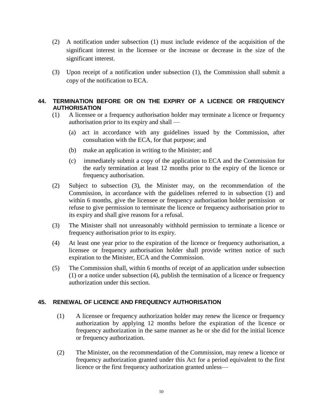- (2) A notification under subsection (1) must include evidence of the acquisition of the significant interest in the licensee or the increase or decrease in the size of the significant interest.
- (3) Upon receipt of a notification under subsection (1), the Commission shall submit a copy of the notification to ECA.

# **44. TERMINATION BEFORE OR ON THE EXPIRY OF A LICENCE OR FREQUENCY AUTHORISATION**

- (1) A licensee or a frequency authorisation holder may terminate a licence or frequency authorisation prior to its expiry and shall —
	- (a) act in accordance with any guidelines issued by the Commission, after consultation with the ECA, for that purpose; and
	- (b) make an application in writing to the Minister; and
	- (c) immediately submit a copy of the application to ECA and the Commission for the early termination at least 12 months prior to the expiry of the licence or frequency authorisation.
- (2) Subject to subsection (3), the Minister may, on the recommendation of the Commission, in accordance with the guidelines referred to in subsection (1) and within 6 months, give the licensee or frequency authorisation holder permission or refuse to give permission to terminate the licence or frequency authorisation prior to its expiry and shall give reasons for a refusal.
- (3) The Minister shall not unreasonably withhold permission to terminate a licence or frequency authorisation prior to its expiry.
- (4) At least one year prior to the expiration of the licence or frequency authorisation, a licensee or frequency authorisation holder shall provide written notice of such expiration to the Minister, ECA and the Commission.
- (5) The Commission shall, within 6 months of receipt of an application under subsection (1) or a notice under subsection (4), publish the termination of a licence or frequency authorization under this section.

### **45. RENEWAL OF LICENCE AND FREQUENCY AUTHORISATION**

- (1) A licensee or frequency authorization holder may renew the licence or frequency authorization by applying 12 months before the expiration of the licence or frequency authorization in the same manner as he or she did for the initial licence or frequency authorization.
- (2) The Minister, on the recommendation of the Commission, may renew a licence or frequency authorization granted under this Act for a period equivalent to the first licence or the first frequency authorization granted unless—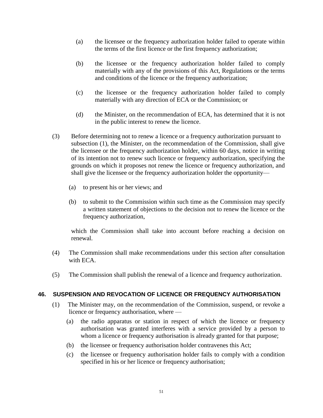- (a) the licensee or the frequency authorization holder failed to operate within the terms of the first licence or the first frequency authorization;
- (b) the licensee or the frequency authorization holder failed to comply materially with any of the provisions of this Act, Regulations or the terms and conditions of the licence or the frequency authorization;
- (c) the licensee or the frequency authorization holder failed to comply materially with any direction of ECA or the Commission; or
- (d) the Minister, on the recommendation of ECA, has determined that it is not in the public interest to renew the licence.
- (3) Before determining not to renew a licence or a frequency authorization pursuant to subsection (1), the Minister, on the recommendation of the Commission, shall give the licensee or the frequency authorization holder, within 60 days, notice in writing of its intention not to renew such licence or frequency authorization, specifying the grounds on which it proposes not renew the licence or frequency authorization, and shall give the licensee or the frequency authorization holder the opportunity—
	- (a) to present his or her views; and
	- (b) to submit to the Commission within such time as the Commission may specify a written statement of objections to the decision not to renew the licence or the frequency authorization,

which the Commission shall take into account before reaching a decision on renewal.

- (4) The Commission shall make recommendations under this section after consultation with ECA.
- (5) The Commission shall publish the renewal of a licence and frequency authorization.

### **46. SUSPENSION AND REVOCATION OF LICENCE OR FREQUENCY AUTHORISATION**

- (1) The Minister may, on the recommendation of the Commission, suspend, or revoke a licence or frequency authorisation, where —
	- (a) the radio apparatus or station in respect of which the licence or frequency authorisation was granted interferes with a service provided by a person to whom a licence or frequency authorisation is already granted for that purpose;
	- (b) the licensee or frequency authorisation holder contravenes this Act;
	- (c) the licensee or frequency authorisation holder fails to comply with a condition specified in his or her licence or frequency authorisation;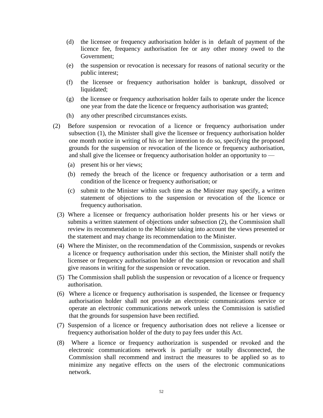- (d) the licensee or frequency authorisation holder is in default of payment of the licence fee, frequency authorisation fee or any other money owed to the Government;
- (e) the suspension or revocation is necessary for reasons of national security or the public interest;
- (f) the licensee or frequency authorisation holder is bankrupt, dissolved or liquidated;
- (g) the licensee or frequency authorisation holder fails to operate under the licence one year from the date the licence or frequency authorisation was granted;
- (h) any other prescribed circumstances exists.
- (2) Before suspension or revocation of a licence or frequency authorisation under subsection (1), the Minister shall give the licensee or frequency authorisation holder one month notice in writing of his or her intention to do so, specifying the proposed grounds for the suspension or revocation of the licence or frequency authorisation, and shall give the licensee or frequency authorisation holder an opportunity to —
	- (a) present his or her views;
	- (b) remedy the breach of the licence or frequency authorisation or a term and condition of the licence or frequency authorisation; or
	- (c) submit to the Minister within such time as the Minister may specify, a written statement of objections to the suspension or revocation of the licence or frequency authorisation.
	- (3) Where a licensee or frequency authorisation holder presents his or her views or submits a written statement of objections under subsection  $(2)$ , the Commission shall review its recommendation to the Minister taking into account the views presented or the statement and may change its recommendation to the Minister.
	- (4) Where the Minister, on the recommendation of the Commission, suspends or revokes a licence or frequency authorisation under this section, the Minister shall notify the licensee or frequency authorisation holder of the suspension or revocation and shall give reasons in writing for the suspension or revocation.
	- (5) The Commission shall publish the suspension or revocation of a licence or frequency authorisation.
	- (6) Where a licence or frequency authorisation is suspended, the licensee or frequency authorisation holder shall not provide an electronic communications service or operate an electronic communications network unless the Commission is satisfied that the grounds for suspension have been rectified.
	- (7) Suspension of a licence or frequency authorisation does not relieve a licensee or frequency authorisation holder of the duty to pay fees under this Act.
	- (8) Where a licence or frequency authorization is suspended or revoked and the electronic communications network is partially or totally disconnected, the Commission shall recommend and instruct the measures to be applied so as to minimize any negative effects on the users of the electronic communications network.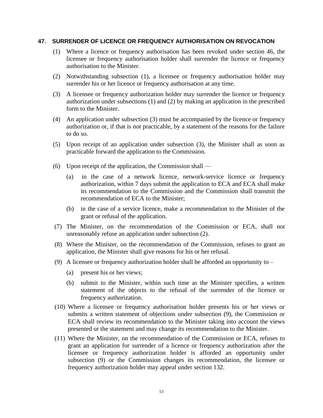#### **47. SURRENDER OF LICENCE OR FREQUENCY AUTHORISATION ON REVOCATION**

- (1) Where a licence or frequency authorisation has been revoked under section 46, the licensee or frequency authorisation holder shall surrender the licence or frequency authorisation to the Minister.
- (2) Notwithstanding subsection (1), a licensee or frequency authorisation holder may surrender his or her licence or frequency authorisation at any time.
- (3) A licensee or frequency authorization holder may surrender the licence or frequency authorization under subsections (1) and (2) by making an application in the prescribed form to the Minister.
- (4) An application under subsection (3) must be accompanied by the licence or frequency authorization or, if that is not practicable, by a statement of the reasons for the failure to do so.
- (5) Upon receipt of an application under subsection (3), the Minister shall as soon as practicable forward the application to the Commission.
- (6) Upon receipt of the application, the Commission shall
	- (a) in the case of a network licence, network-service licence or frequency authorization, within 7 days submit the application to ECA and ECA shall make its recommendation to the Commission and the Commission shall transmit the recommendation of ECA to the Minister;
	- (b) in the case of a service licence, make a recommendation to the Minister of the grant or refusal of the application.
- (7) The Minister, on the recommendation of the Commission or ECA, shall not unreasonably refuse an application under subsection (2).
- (8) Where the Minister, on the recommendation of the Commission, refuses to grant an application, the Minister shall give reasons for his or her refusal.
- (9) A licensee or frequency authorization holder shall be afforded an opportunity to
	- (a) present his or her views;
	- (b) submit to the Minister, within such time as the Minister specifies, a written statement of the objects to the refusal of the surrender of the licence or frequency authorization.
- (10) Where a licensee or frequency authorisation holder presents his or her views or submits a written statement of objections under subsection (9), the Commission or ECA shall review its recommendation to the Minister taking into account the views presented or the statement and may change its recommendation to the Minister.
- (11) Where the Minister, on the recommendation of the Commission or ECA, refuses to grant an application for surrender of a licence or frequency authorization after the licensee or frequency authorization holder is afforded an opportunity under subsection (9) or the Commission changes its recommendation, the licensee or frequency authorization holder may appeal under section 132.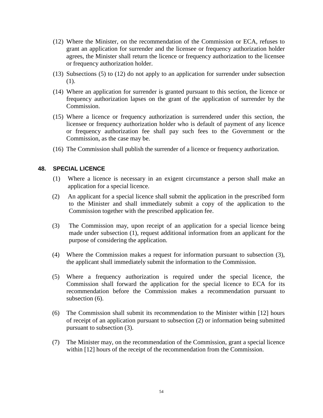- (12) Where the Minister, on the recommendation of the Commission or ECA, refuses to grant an application for surrender and the licensee or frequency authorization holder agrees, the Minister shall return the licence or frequency authorization to the licensee or frequency authorization holder.
- (13) Subsections (5) to (12) do not apply to an application for surrender under subsection (1).
- (14) Where an application for surrender is granted pursuant to this section, the licence or frequency authorization lapses on the grant of the application of surrender by the Commission.
- (15) Where a licence or frequency authorization is surrendered under this section, the licensee or frequency authorization holder who is default of payment of any licence or frequency authorization fee shall pay such fees to the Government or the Commission, as the case may be.
- (16) The Commission shall publish the surrender of a licence or frequency authorization.

### **48. SPECIAL LICENCE**

- (1) Where a licence is necessary in an exigent circumstance a person shall make an application for a special licence.
- (2) An applicant for a special licence shall submit the application in the prescribed form to the Minister and shall immediately submit a copy of the application to the Commission together with the prescribed application fee.
- (3) The Commission may, upon receipt of an application for a special licence being made under subsection (1), request additional information from an applicant for the purpose of considering the application.
- (4) Where the Commission makes a request for information pursuant to subsection (3), the applicant shall immediately submit the information to the Commission.
- (5) Where a frequency authorization is required under the special licence, the Commission shall forward the application for the special licence to ECA for its recommendation before the Commission makes a recommendation pursuant to subsection  $(6)$ .
- (6) The Commission shall submit its recommendation to the Minister within [12] hours of receipt of an application pursuant to subsection (2) or information being submitted pursuant to subsection (3).
- (7) The Minister may, on the recommendation of the Commission, grant a special licence within [12] hours of the receipt of the recommendation from the Commission.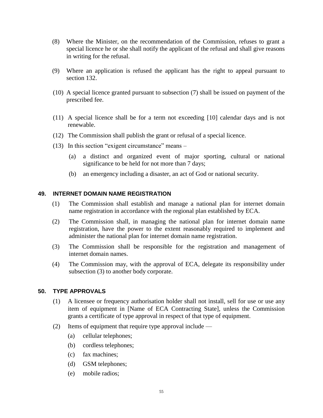- (8) Where the Minister, on the recommendation of the Commission, refuses to grant a special licence he or she shall notify the applicant of the refusal and shall give reasons in writing for the refusal.
- (9) Where an application is refused the applicant has the right to appeal pursuant to section 132.
- (10) A special licence granted pursuant to subsection (7) shall be issued on payment of the prescribed fee.
- (11) A special licence shall be for a term not exceeding [10] calendar days and is not renewable.
- (12) The Commission shall publish the grant or refusal of a special licence.
- (13) In this section "exigent circumstance" means
	- (a) a distinct and organized event of major sporting, cultural or national significance to be held for not more than 7 days;
	- (b) an emergency including a disaster, an act of God or national security.

# **49. INTERNET DOMAIN NAME REGISTRATION**

- (1) The Commission shall establish and manage a national plan for internet domain name registration in accordance with the regional plan established by ECA.
- (2) The Commission shall, in managing the national plan for internet domain name registration, have the power to the extent reasonably required to implement and administer the national plan for internet domain name registration.
- (3) The Commission shall be responsible for the registration and management of internet domain names.
- (4) The Commission may, with the approval of ECA, delegate its responsibility under subsection (3) to another body corporate.

#### **50. TYPE APPROVALS**

- (1) A licensee or frequency authorisation holder shall not install, sell for use or use any item of equipment in [Name of ECA Contracting State], unless the Commission grants a certificate of type approval in respect of that type of equipment.
- (2) Items of equipment that require type approval include
	- (a) cellular telephones;
	- (b) cordless telephones;
	- (c) fax machines;
	- (d) GSM telephones;
	- (e) mobile radios;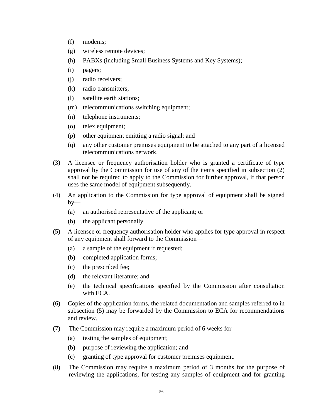- (f) modems;
- (g) wireless remote devices;
- (h) PABXs (including Small Business Systems and Key Systems);
- (i) pagers;
- (j) radio receivers;
- (k) radio transmitters;
- (l) satellite earth stations;
- (m) telecommunications switching equipment;
- (n) telephone instruments;
- (o) telex equipment;
- (p) other equipment emitting a radio signal; and
- (q) any other customer premises equipment to be attached to any part of a licensed telecommunications network.
- (3) A licensee or frequency authorisation holder who is granted a certificate of type approval by the Commission for use of any of the items specified in subsection (2) shall not be required to apply to the Commission for further approval, if that person uses the same model of equipment subsequently.
- (4) An application to the Commission for type approval of equipment shall be signed  $by-$ 
	- (a) an authorised representative of the applicant; or
	- (b) the applicant personally.
- (5) A licensee or frequency authorisation holder who applies for type approval in respect of any equipment shall forward to the Commission—
	- (a) a sample of the equipment if requested;
	- (b) completed application forms;
	- (c) the prescribed fee;
	- (d) the relevant literature; and
	- (e) the technical specifications specified by the Commission after consultation with ECA.
- (6) Copies of the application forms, the related documentation and samples referred to in subsection (5) may be forwarded by the Commission to ECA for recommendations and review.
- (7) The Commission may require a maximum period of 6 weeks for—
	- (a) testing the samples of equipment;
	- (b) purpose of reviewing the application; and
	- (c) granting of type approval for customer premises equipment.
- (8) The Commission may require a maximum period of 3 months for the purpose of reviewing the applications, for testing any samples of equipment and for granting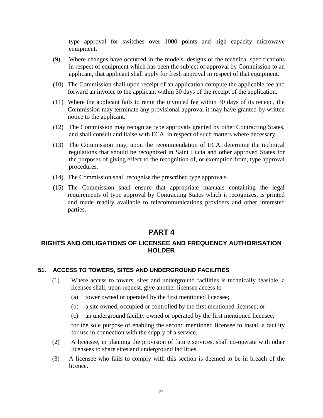type approval for switches over 1000 points and high capacity microwave equipment.

- (9) Where changes have occurred in the models, designs or the technical specifications in respect of equipment which has been the subject of approval by Commission to an applicant, that applicant shall apply for fresh approval in respect of that equipment.
- (10) The Commission shall upon receipt of an application compute the applicable fee and forward an invoice to the applicant within 30 days of the receipt of the application.
- (11) Where the applicant fails to remit the invoiced fee within 30 days of its receipt, the Commission may terminate any provisional approval it may have granted by written notice to the applicant.
- (12) The Commission may recognize type approvals granted by other Contracting States, and shall consult and liaise with ECA, in respect of such matters where necessary.
- (13) The Commission may, upon the recommendation of ECA, determine the technical regulations that should be recognized in Saint Lucia and other approved States for the purposes of giving effect to the recognition of, or exemption from, type approval procedures.
- (14) The Commission shall recognise the prescribed type approvals.
- (15) The Commission shall ensure that appropriate manuals containing the legal requirements of type approval by Contracting States which it recognizes, is printed and made readily available to telecommunications providers and other interested parties.

# **PART 4**

# **RIGHTS AND OBLIGATIONS OF LICENSEE AND FREQUENCY AUTHORISATION HOLDER**

### **51. ACCESS TO TOWERS, SITES AND UNDERGROUND FACILITIES**

- (1) Where access to towers, sites and underground facilities is technically feasible, a licensee shall, upon request, give another licensee access to —
	- (a) tower owned or operated by the first mentioned licensee;
	- (b) a site owned, occupied or controlled by the first mentioned licensee; or
	- (c) an underground facility owned or operated by the first mentioned licensee,

for the sole purpose of enabling the second mentioned licensee to install a facility for use in connection with the supply of a service.

- (2) A licensee, in planning the provision of future services, shall co-operate with other licensees to share sites and underground facilities.
- (3) A licensee who fails to comply with this section is deemed to be in breach of the licence.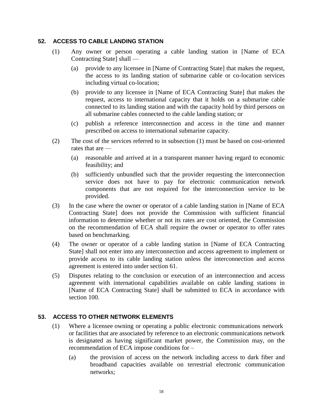### **52. ACCESS TO CABLE LANDING STATION**

- (1) Any owner or person operating a cable landing station in [Name of ECA Contracting State] shall —
	- (a) provide to any licensee in [Name of Contracting State] that makes the request, the access to its landing station of submarine cable or co-location services including virtual co-location;
	- (b) provide to any licensee in [Name of ECA Contracting State] that makes the request, access to international capacity that it holds on a submarine cable connected to its landing station and with the capacity hold by third persons on all submarine cables connected to the cable landing station; or
	- (c) publish a reference interconnection and access in the time and manner prescribed on access to international submarine capacity.
- (2) The cost of the services referred to in subsection (1) must be based on cost-oriented rates that are —
	- (a) reasonable and arrived at in a transparent manner having regard to economic feasibility; and
	- (b) sufficiently unbundled such that the provider requesting the interconnection service does not have to pay for electronic communication network components that are not required for the interconnection service to be provided.
- (3) In the case where the owner or operator of a cable landing station in [Name of ECA Contracting State] does not provide the Commission with sufficient financial information to determine whether or not its rates are cost oriented, the Commission on the recommendation of ECA shall require the owner or operator to offer rates based on benchmarking.
- (4) The owner or operator of a cable landing station in [Name of ECA Contracting State] shall not enter into any interconnection and access agreement to implement or provide access to its cable landing station unless the interconnection and access agreement is entered into under section 61.
- (5) Disputes relating to the conclusion or execution of an interconnection and access agreement with international capabilities available on cable landing stations in [Name of ECA Contracting State] shall be submitted to ECA in accordance with section 100.

# **53. ACCESS TO OTHER NETWORK ELEMENTS**

- (1) Where a licensee owning or operating a public electronic communications network or facilities that are associated by reference to an electronic communications network is designated as having significant market power, the Commission may, on the recommendation of ECA impose conditions for –
	- (a) the provision of access on the network including access to dark fiber and broadband capacities available on terrestrial electronic communication networks;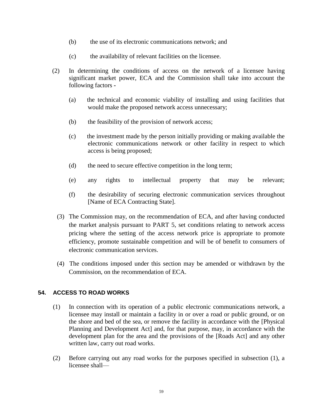- (b) the use of its electronic communications network; and
- (c) the availability of relevant facilities on the licensee.
- (2) In determining the conditions of access on the network of a licensee having significant market power, ECA and the Commission shall take into account the following factors **-**
	- (a) the technical and economic viability of installing and using facilities that would make the proposed network access unnecessary;
	- (b) the feasibility of the provision of network access;
	- (c) the investment made by the person initially providing or making available the electronic communications network or other facility in respect to which access is being proposed;
	- (d) the need to secure effective competition in the long term;
	- (e) any rights to intellectual property that may be relevant;
	- (f) the desirability of securing electronic communication services throughout [Name of ECA Contracting State].
	- (3) The Commission may, on the recommendation of ECA, and after having conducted the market analysis pursuant to PART 5, set conditions relating to network access pricing where the setting of the access network price is appropriate to promote efficiency, promote sustainable competition and will be of benefit to consumers of electronic communication services.
	- (4) The conditions imposed under this section may be amended or withdrawn by the Commission, on the recommendation of ECA.

### **54. ACCESS TO ROAD WORKS**

- (1) In connection with its operation of a public electronic communications network, a licensee may install or maintain a facility in or over a road or public ground, or on the shore and bed of the sea, or remove the facility in accordance with the [Physical Planning and Development Act] and, for that purpose, may, in accordance with the development plan for the area and the provisions of the [Roads Act] and any other written law, carry out road works.
- (2) Before carrying out any road works for the purposes specified in subsection (1), a licensee shall—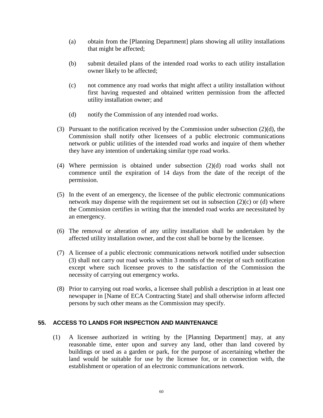- (a) obtain from the [Planning Department] plans showing all utility installations that might be affected;
- (b) submit detailed plans of the intended road works to each utility installation owner likely to be affected;
- (c) not commence any road works that might affect a utility installation without first having requested and obtained written permission from the affected utility installation owner; and
- (d) notify the Commission of any intended road works.
- (3) Pursuant to the notification received by the Commission under subsection (2)(d), the Commission shall notify other licensees of a public electronic communications network or public utilities of the intended road works and inquire of them whether they have any intention of undertaking similar type road works.
- (4) Where permission is obtained under subsection (2)(d) road works shall not commence until the expiration of 14 days from the date of the receipt of the permission.
- (5) In the event of an emergency, the licensee of the public electronic communications network may dispense with the requirement set out in subsection (2)(c) or (d) where the Commission certifies in writing that the intended road works are necessitated by an emergency.
- (6) The removal or alteration of any utility installation shall be undertaken by the affected utility installation owner, and the cost shall be borne by the licensee.
- (7) A licensee of a public electronic communications network notified under subsection (3) shall not carry out road works within 3 months of the receipt of such notification except where such licensee proves to the satisfaction of the Commission the necessity of carrying out emergency works.
- (8) Prior to carrying out road works, a licensee shall publish a description in at least one newspaper in [Name of ECA Contracting State] and shall otherwise inform affected persons by such other means as the Commission may specify.

### **55. ACCESS TO LANDS FOR INSPECTION AND MAINTENANCE**

(1) A licensee authorized in writing by the [Planning Department] may, at any reasonable time, enter upon and survey any land, other than land covered by buildings or used as a garden or park, for the purpose of ascertaining whether the land would be suitable for use by the licensee for, or in connection with, the establishment or operation of an electronic communications network.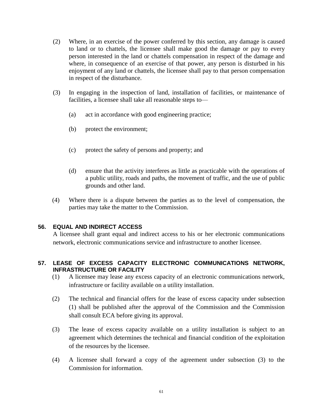- (2) Where, in an exercise of the power conferred by this section, any damage is caused to land or to chattels, the licensee shall make good the damage or pay to every person interested in the land or chattels compensation in respect of the damage and where, in consequence of an exercise of that power, any person is disturbed in his enjoyment of any land or chattels, the licensee shall pay to that person compensation in respect of the disturbance.
- (3) In engaging in the inspection of land, installation of facilities, or maintenance of facilities, a licensee shall take all reasonable steps to—
	- (a) act in accordance with good engineering practice;
	- (b) protect the environment;
	- (c) protect the safety of persons and property; and
	- (d) ensure that the activity interferes as little as practicable with the operations of a public utility, roads and paths, the movement of traffic, and the use of public grounds and other land.
- (4) Where there is a dispute between the parties as to the level of compensation, the parties may take the matter to the Commission.

### **56. EQUAL AND INDIRECT ACCESS**

A licensee shall grant equal and indirect access to his or her electronic communications network, electronic communications service and infrastructure to another licensee.

#### **57. LEASE OF EXCESS CAPACITY ELECTRONIC COMMUNICATIONS NETWORK, INFRASTRUCTURE OR FACILITY**

- (1) A licensee may lease any excess capacity of an electronic communications network, infrastructure or facility available on a utility installation.
- (2) The technical and financial offers for the lease of excess capacity under subsection (1) shall be published after the approval of the Commission and the Commission shall consult ECA before giving its approval.
- (3) The lease of excess capacity available on a utility installation is subject to an agreement which determines the technical and financial condition of the exploitation of the resources by the licensee.
- (4) A licensee shall forward a copy of the agreement under subsection (3) to the Commission for information.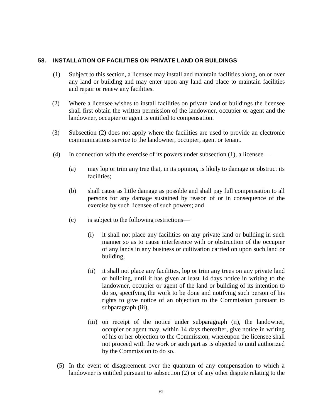#### **58. INSTALLATION OF FACILITIES ON PRIVATE LAND OR BUILDINGS**

- (1) Subject to this section, a licensee may install and maintain facilities along, on or over any land or building and may enter upon any land and place to maintain facilities and repair or renew any facilities.
- (2) Where a licensee wishes to install facilities on private land or buildings the licensee shall first obtain the written permission of the landowner, occupier or agent and the landowner, occupier or agent is entitled to compensation.
- (3) Subsection (2) does not apply where the facilities are used to provide an electronic communications service to the landowner, occupier, agent or tenant.
- (4) In connection with the exercise of its powers under subsection  $(1)$ , a licensee
	- (a) may lop or trim any tree that, in its opinion, is likely to damage or obstruct its facilities;
	- (b) shall cause as little damage as possible and shall pay full compensation to all persons for any damage sustained by reason of or in consequence of the exercise by such licensee of such powers; and
	- (c) is subject to the following restrictions—
		- (i) it shall not place any facilities on any private land or building in such manner so as to cause interference with or obstruction of the occupier of any lands in any business or cultivation carried on upon such land or building,
		- (ii) it shall not place any facilities, lop or trim any trees on any private land or building, until it has given at least 14 days notice in writing to the landowner, occupier or agent of the land or building of its intention to do so, specifying the work to be done and notifying such person of his rights to give notice of an objection to the Commission pursuant to subparagraph (iii),
		- (iii) on receipt of the notice under subparagraph (ii), the landowner, occupier or agent may, within 14 days thereafter, give notice in writing of his or her objection to the Commission, whereupon the licensee shall not proceed with the work or such part as is objected to until authorized by the Commission to do so.
	- (5) In the event of disagreement over the quantum of any compensation to which a landowner is entitled pursuant to subsection (2) or of any other dispute relating to the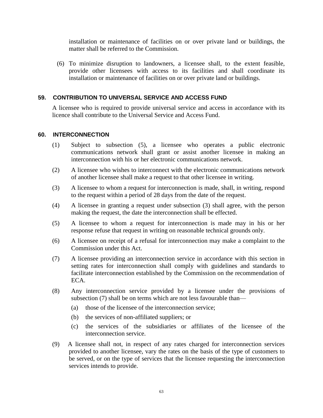installation or maintenance of facilities on or over private land or buildings, the matter shall be referred to the Commission.

(6) To minimize disruption to landowners, a licensee shall, to the extent feasible, provide other licensees with access to its facilities and shall coordinate its installation or maintenance of facilities on or over private land or buildings.

# **59. CONTRIBUTION TO UNIVERSAL SERVICE AND ACCESS FUND**

A licensee who is required to provide universal service and access in accordance with its licence shall contribute to the Universal Service and Access Fund.

### **60. INTERCONNECTION**

- (1) Subject to subsection (5), a licensee who operates a public electronic communications network shall grant or assist another licensee in making an interconnection with his or her electronic communications network.
- (2) A licensee who wishes to interconnect with the electronic communications network of another licensee shall make a request to that other licensee in writing.
- (3) A licensee to whom a request for interconnection is made, shall, in writing, respond to the request within a period of 28 days from the date of the request.
- (4) A licensee in granting a request under subsection (3) shall agree, with the person making the request, the date the interconnection shall be effected.
- (5) A licensee to whom a request for interconnection is made may in his or her response refuse that request in writing on reasonable technical grounds only.
- (6) A licensee on receipt of a refusal for interconnection may make a complaint to the Commission under this Act.
- (7) A licensee providing an interconnection service in accordance with this section in setting rates for interconnection shall comply with guidelines and standards to facilitate interconnection established by the Commission on the recommendation of ECA.
- (8) Any interconnection service provided by a licensee under the provisions of subsection (7) shall be on terms which are not less favourable than—
	- (a) those of the licensee of the interconnection service;
	- (b) the services of non-affiliated suppliers; or
	- (c) the services of the subsidiaries or affiliates of the licensee of the interconnection service.
- (9) A licensee shall not, in respect of any rates charged for interconnection services provided to another licensee, vary the rates on the basis of the type of customers to be served, or on the type of services that the licensee requesting the interconnection services intends to provide.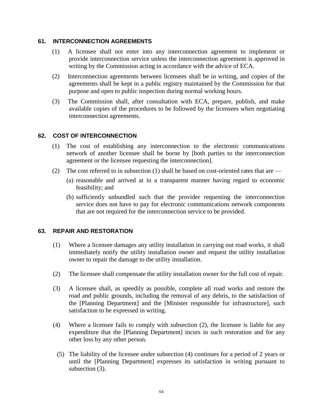### **61. INTERCONNECTION AGREEMENTS**

- (1) A licensee shall not enter into any interconnection agreement to implement or provide interconnection service unless the interconnection agreement is approved in writing by the Commission acting in accordance with the advice of ECA.
- (2) Interconnection agreements between licensees shall be in writing, and copies of the agreements shall be kept in a public registry maintained by the Commission for that purpose and open to public inspection during normal working hours.
- (3) The Commission shall, after consultation with ECA, prepare, publish, and make available copies of the procedures to be followed by the licensees when negotiating interconnection agreements.

### **62. COST OF INTERCONNECTION**

- (1) The cost of establishing any interconnection to the electronic communications network of another licensee shall be borne by [both parties to the interconnection agreement or the licensee requesting the interconnection].
- (2) The cost referred to in subsection (1) shall be based on cost-oriented rates that are
	- (a) reasonable and arrived at in a transparent manner having regard to economic feasibility; and
	- (b) sufficiently unbundled such that the provider requesting the interconnection service does not have to pay for electronic communications network components that are not required for the interconnection service to be provided.

#### **63. REPAIR AND RESTORATION**

- (1) Where a licensee damages any utility installation in carrying out road works, it shall immediately notify the utility installation owner and request the utility installation owner to repair the damage to the utility installation.
- (2) The licensee shall compensate the utility installation owner for the full cost of repair.
- (3) A licensee shall, as speedily as possible, complete all road works and restore the road and public grounds, including the removal of any debris, to the satisfaction of the [Planning Department] and the [Minister responsible for infrastructure], such satisfaction to be expressed in writing.
- (4) Where a licensee fails to comply with subsection (2), the licensee is liable for any expenditure that the [Planning Department] incurs in such restoration and for any other loss by any other person.
	- (5) The liability of the licensee under subsection (4) continues for a period of 2 years or until the [Planning Department] expresses its satisfaction in writing pursuant to subsection (3).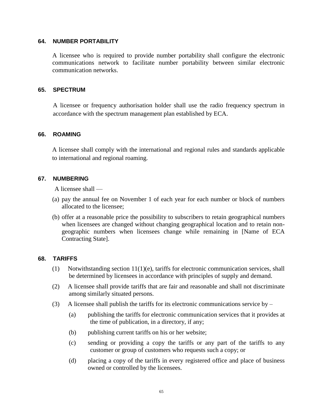### **64. NUMBER PORTABILITY**

A licensee who is required to provide number portability shall configure the electronic communications network to facilitate number portability between similar electronic communication networks.

#### **65. SPECTRUM**

A licensee or frequency authorisation holder shall use the radio frequency spectrum in accordance with the spectrum management plan established by ECA.

### **66. ROAMING**

A licensee shall comply with the international and regional rules and standards applicable to international and regional roaming.

### **67. NUMBERING**

A licensee shall —

- (a) pay the annual fee on November 1 of each year for each number or block of numbers allocated to the licensee;
- (b) offer at a reasonable price the possibility to subscribers to retain geographical numbers when licensees are changed without changing geographical location and to retain nongeographic numbers when licensees change while remaining in [Name of ECA Contracting State].

#### **68. TARIFFS**

- (1) Notwithstanding section  $11(1)(e)$ , tariffs for electronic communication services, shall be determined by licensees in accordance with principles of supply and demand.
- (2) A licensee shall provide tariffs that are fair and reasonable and shall not discriminate among similarly situated persons.
- (3) A licensee shall publish the tariffs for its electronic communications service by
	- (a) publishing the tariffs for electronic communication services that it provides at the time of publication, in a directory, if any;
	- (b) publishing current tariffs on his or her website;
	- (c) sending or providing a copy the tariffs or any part of the tariffs to any customer or group of customers who requests such a copy; or
	- (d) placing a copy of the tariffs in every registered office and place of business owned or controlled by the licensees.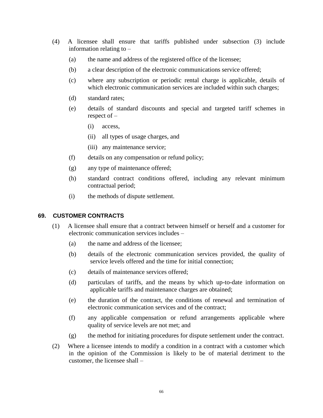- (4) A licensee shall ensure that tariffs published under subsection (3) include information relating to –
	- (a) the name and address of the registered office of the licensee;
	- (b) a clear description of the electronic communications service offered;
	- (c) where any subscription or periodic rental charge is applicable, details of which electronic communication services are included within such charges;
	- (d) standard rates;
	- (e) details of standard discounts and special and targeted tariff schemes in respect of –
		- (i) access,
		- (ii) all types of usage charges, and
		- (iii) any maintenance service;
	- (f) details on any compensation or refund policy;
	- (g) any type of maintenance offered;
	- (h) standard contract conditions offered, including any relevant minimum contractual period;
	- (i) the methods of dispute settlement.

#### **69. CUSTOMER CONTRACTS**

- (1) A licensee shall ensure that a contract between himself or herself and a customer for electronic communication services includes –
	- (a) the name and address of the licensee;
	- (b) details of the electronic communication services provided, the quality of service levels offered and the time for initial connection;
	- (c) details of maintenance services offered;
	- (d) particulars of tariffs, and the means by which up-to-date information on applicable tariffs and maintenance charges are obtained;
	- (e) the duration of the contract, the conditions of renewal and termination of electronic communication services and of the contract;
	- (f) any applicable compensation or refund arrangements applicable where quality of service levels are not met; and
	- (g) the method for initiating procedures for dispute settlement under the contract.
- (2) Where a licensee intends to modify a condition in a contract with a customer which in the opinion of the Commission is likely to be of material detriment to the customer, the licensee shall –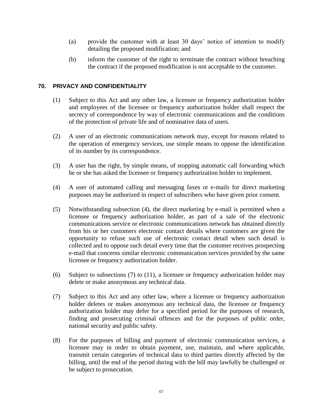- (a) provide the customer with at least 30 days' notice of intention to modify detailing the proposed modification; and
- (b) inform the customer of the right to terminate the contract without breaching the contract if the proposed modification is not acceptable to the customer.

### **70. PRIVACY AND CONFIDENTIALITY**

- (1) Subject to this Act and any other law, a licensee or frequency authorization holder and employees of the licensee or frequency authorization holder shall respect the secrecy of correspondence by way of electronic communications and the conditions of the protection of private life and of nominative data of users.
- (2) A user of an electronic communications network may, except for reasons related to the operation of emergency services, use simple means to oppose the identification of its number by its correspondence.
- (3) A user has the right, by simple means, of stopping automatic call forwarding which he or she has asked the licensee or frequency authorization holder to implement.
- (4) A user of automated calling and messaging faxes or e-mails for direct marketing purposes may be authorized in respect of subscribers who have given prior consent.
- (5) Notwithstanding subsection (4), the direct marketing by e-mail is permitted when a licensee or frequency authorization holder, as part of a sale of the electronic communications service or electronic communications network has obtained directly from his or her customers electronic contact details where customers are given the opportunity to refuse such use of electronic contact detail when such detail is collected and to oppose such detail every time that the customer receives prospecting e-mail that concerns similar electronic communication services provided by the same licensee or frequency authorization holder.
- (6) Subject to subsections (7) to (11), a licensee or frequency authorization holder may delete or make anonymous any technical data.
- (7) Subject to this Act and any other law, where a licensee or frequency authorization holder deletes or makes anonymous any technical data, the licensee or frequency authorization holder may defer for a specified period for the purposes of research, finding and prosecuting criminal offences and for the purposes of public order, national security and public safety.
- (8) For the purposes of billing and payment of electronic communication services, a licensee may in order to obtain payment, use, maintain, and where applicable, transmit certain categories of technical data to third parties directly affected by the billing, until the end of the period during with the bill may lawfully be challenged or be subject to prosecution.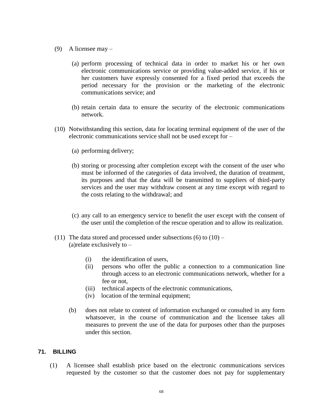- (9) A licensee may
	- (a) perform processing of technical data in order to market his or her own electronic communications service or providing value-added service, if his or her customers have expressly consented for a fixed period that exceeds the period necessary for the provision or the marketing of the electronic communications service; and
	- (b) retain certain data to ensure the security of the electronic communications network.
- (10) Notwithstanding this section, data for locating terminal equipment of the user of the electronic communications service shall not be used except for –
	- (a) performing delivery;
	- (b) storing or processing after completion except with the consent of the user who must be informed of the categories of data involved, the duration of treatment, its purposes and that the data will be transmitted to suppliers of third-party services and the user may withdraw consent at any time except with regard to the costs relating to the withdrawal; and
	- (c) any call to an emergency service to benefit the user except with the consent of the user until the completion of the rescue operation and to allow its realization.
- (11) The data stored and processed under subsections  $(6)$  to  $(10)$  (a)relate exclusively to –
	- (i) the identification of users,
	- (ii) persons who offer the public a connection to a communication line through access to an electronic communications network, whether for a fee or not,
	- (iii) technical aspects of the electronic communications,
	- (iv) location of the terminal equipment;
	- (b) does not relate to content of information exchanged or consulted in any form whatsoever, in the course of communication and the licensee takes all measures to prevent the use of the data for purposes other than the purposes under this section.

### **71. BILLING**

(1) A licensee shall establish price based on the electronic communications services requested by the customer so that the customer does not pay for supplementary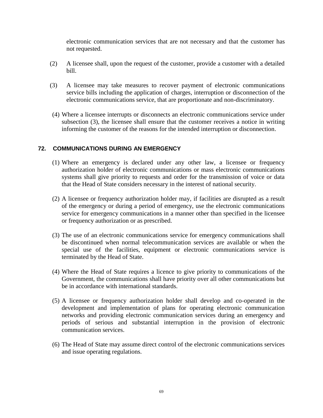electronic communication services that are not necessary and that the customer has not requested.

- (2) A licensee shall, upon the request of the customer, provide a customer with a detailed bill.
- (3) A licensee may take measures to recover payment of electronic communications service bills including the application of charges, interruption or disconnection of the electronic communications service, that are proportionate and non-discriminatory.
- (4) Where a licensee interrupts or disconnects an electronic communications service under subsection (3), the licensee shall ensure that the customer receives a notice in writing informing the customer of the reasons for the intended interruption or disconnection.

# **72. COMMUNICATIONS DURING AN EMERGENCY**

- (1) Where an emergency is declared under any other law, a licensee or frequency authorization holder of electronic communications or mass electronic communications systems shall give priority to requests and order for the transmission of voice or data that the Head of State considers necessary in the interest of national security.
- (2) A licensee or frequency authorization holder may, if facilities are disrupted as a result of the emergency or during a period of emergency, use the electronic communications service for emergency communications in a manner other than specified in the licensee or frequency authorization or as prescribed.
- (3) The use of an electronic communications service for emergency communications shall be discontinued when normal telecommunication services are available or when the special use of the facilities, equipment or electronic communications service is terminated by the Head of State.
- (4) Where the Head of State requires a licence to give priority to communications of the Government, the communications shall have priority over all other communications but be in accordance with international standards.
- (5) A licensee or frequency authorization holder shall develop and co-operated in the development and implementation of plans for operating electronic communication networks and providing electronic communication services during an emergency and periods of serious and substantial interruption in the provision of electronic communication services.
- (6) The Head of State may assume direct control of the electronic communications services and issue operating regulations.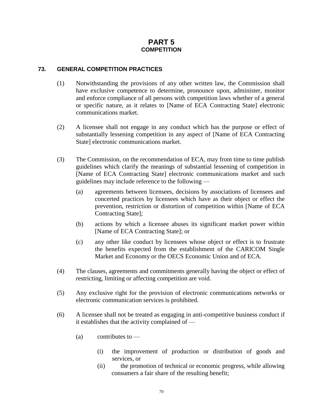# **PART 5 COMPETITION**

# **73. GENERAL COMPETITION PRACTICES**

- (1) Notwithstanding the provisions of any other written law, the Commission shall have exclusive competence to determine, pronounce upon, administer, monitor and enforce compliance of all persons with competition laws whether of a general or specific nature, as it relates to [Name of ECA Contracting State] electronic communications market.
- (2) A licensee shall not engage in any conduct which has the purpose or effect of substantially lessening competition in any aspect of [Name of ECA Contracting State] electronic communications market.
- (3) The Commission, on the recommendation of ECA, may from time to time publish guidelines which clarify the meanings of substantial lessening of competition in [Name of ECA Contracting State] electronic communications market and such guidelines may include reference to the following —
	- (a) agreements between licensees, decisions by associations of licensees and concerted practices by licensees which have as their object or effect the prevention, restriction or distortion of competition within [Name of ECA Contracting State];
	- (b) actions by which a licensee abuses its significant market power within [Name of ECA Contracting State]; or
	- (c) any other like conduct by licensees whose object or effect is to frustrate the benefits expected from the establishment of the CARICOM Single Market and Economy or the OECS Economic Union and of ECA.
- (4) The clauses, agreements and commitments generally having the object or effect of restricting, limiting or affecting competition are void.
- (5) Any exclusive right for the provision of electronic communications networks or electronic communication services is prohibited.
- (6) A licensee shall not be treated as engaging in anti-competitive business conduct if it establishes that the activity complained of —
	- $(a)$  contributes to
		- (i) the improvement of production or distribution of goods and services, or
		- (ii) the promotion of technical or economic progress, while allowing consumers a fair share of the resulting benefit;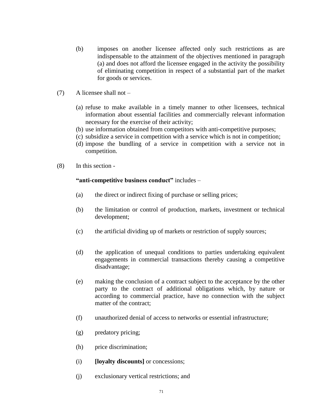- (b) imposes on another licensee affected only such restrictions as are indispensable to the attainment of the objectives mentioned in paragraph (a) and does not afford the licensee engaged in the activity the possibility of eliminating competition in respect of a substantial part of the market for goods or services.
- (7) A licensee shall not
	- (a) refuse to make available in a timely manner to other licensees, technical information about essential facilities and commercially relevant information necessary for the exercise of their activity;
	- (b) use information obtained from competitors with anti-competitive purposes;
	- (c) subsidize a service in competition with a service which is not in competition;
	- (d) impose the bundling of a service in competition with a service not in competition.
- (8) In this section -

#### **"anti-competitive business conduct"** includes –

- (a) the direct or indirect fixing of purchase or selling prices;
- (b) the limitation or control of production, markets, investment or technical development;
- (c) the artificial dividing up of markets or restriction of supply sources;
- (d) the application of unequal conditions to parties undertaking equivalent engagements in commercial transactions thereby causing a competitive disadvantage;
- (e) making the conclusion of a contract subject to the acceptance by the other party to the contract of additional obligations which, by nature or according to commercial practice, have no connection with the subject matter of the contract;
- (f) unauthorized denial of access to networks or essential infrastructure;
- (g) predatory pricing;
- (h) price discrimination;
- (i) **[loyalty discounts]** or concessions;
- (j) exclusionary vertical restrictions; and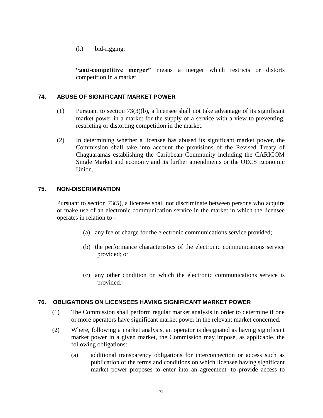(k) bid-rigging;

**"anti-competitive merger"** means a merger which restricts or distorts competition in a market.

# **74. ABUSE OF SIGNIFICANT MARKET POWER**

- $(1)$  Pursuant to section 73(3)(b), a licensee shall not take advantage of its significant market power in a market for the supply of a service with a view to preventing, restricting or distorting competition in the market.
- (2) In determining whether a licensee has abused its significant market power, the Commission shall take into account the provisions of the Revised Treaty of Chaguaramas establishing the Caribbean Community including the CARICOM Single Market and economy and its further amendments or the OECS Economic Union.

### **75. NON-DISCRIMINATION**

Pursuant to section 73(5), a licensee shall not discriminate between persons who acquire or make use of an electronic communication service in the market in which the licensee operates in relation to -

- (a) any fee or charge for the electronic communications service provided;
- (b) the performance characteristics of the electronic communications service provided; or
- (c) any other condition on which the electronic communications service is provided.

### **76. OBLIGATIONS ON LICENSEES HAVING SIGNIFICANT MARKET POWER**

- (1) The Commission shall perform regular market analysis in order to determine if one or more operators have significant market power in the relevant market concerned.
- (2) Where, following a market analysis, an operator is designated as having significant market power in a given market, the Commission may impose, as applicable, the following obligations:
	- (a) additional transparency obligations for interconnection or access such as publication of the terms and conditions on which licensee having significant market power proposes to enter into an agreement to provide access to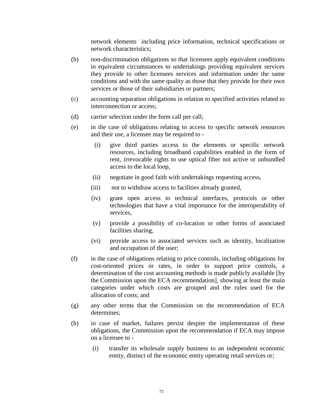network elements including price information, technical specifications or network characteristics;

- (b) non-discrimination obligations so that licensees apply equivalent conditions in equivalent circumstances to undertakings providing equivalent services they provide to other licensees services and information under the same conditions and with the same quality as those that they provide for their own services or those of their subsidiaries or partners;
- (c) accounting separation obligations in relation to specified activities related to interconnection or access;
- (d) carrier selection under the form call per call;
- (e) in the case of obligations relating to access to specific network resources and their use, a licensee may be required to -
	- (i) give third parties access to the elements or specific network resources, including broadband capabilities enabled in the form of rent, irrevocable rights to use optical fiber not active or unbundled access to the local loop,
	- (ii) negotiate in good faith with undertakings requesting access,
	- (iii) not to withdraw access to facilities already granted,
	- (iv) grant open access to technical interfaces, protocols or other technologies that have a vital importance for the interoperability of services,
	- (v) provide a possibility of co-location or other forms of associated facilities sharing,
	- (vi) provide access to associated services such as identity, localisation and occupation of the user;
- (f) in the case of obligations relating to price controls, including obligations for cost-oriented prices or rates, in order to support price controls, a determination of the cost accounting methods is made publicly available [by the Commission upon the ECA recommendation], showing at least the main categories under which costs are grouped and the rules used for the allocation of costs; and
- (g) any other terms that the Commission on the recommendation of ECA determines;
- (h) in case of market, failures persist despite the implementation of these obligations, the Commission upon the recommendation if ECA may impose on a licensee to -
	- (i) transfer its wholesale supply business to an independent economic entity, distinct of the economic entity operating retail services or;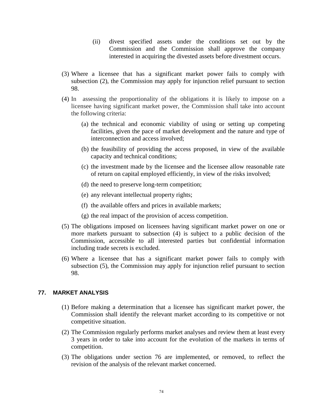- (ii) divest specified assets under the conditions set out by the Commission and the Commission shall approve the company interested in acquiring the divested assets before divestment occurs.
- (3) Where a licensee that has a significant market power fails to comply with subsection (2), the Commission may apply for injunction relief pursuant to section 98.
- (4) In assessing the proportionality of the obligations it is likely to impose on a licensee having significant market power, the Commission shall take into account the following criteria:
	- (a) the technical and economic viability of using or setting up competing facilities, given the pace of market development and the nature and type of interconnection and access involved;
	- (b) the feasibility of providing the access proposed, in view of the available capacity and technical conditions;
	- (c) the investment made by the licensee and the licensee allow reasonable rate of return on capital employed efficiently, in view of the risks involved;
	- (d) the need to preserve long-term competition;
	- (e) any relevant intellectual property rights;
	- (f) the available offers and prices in available markets;
	- (g) the real impact of the provision of access competition.
- (5) The obligations imposed on licensees having significant market power on one or more markets pursuant to subsection (4) is subject to a public decision of the Commission, accessible to all interested parties but confidential information including trade secrets is excluded.
- (6) Where a licensee that has a significant market power fails to comply with subsection (5), the Commission may apply for injunction relief pursuant to section 98.

#### **77. MARKET ANALYSIS**

- (1) Before making a determination that a licensee has significant market power, the Commission shall identify the relevant market according to its competitive or not competitive situation.
- (2) The Commission regularly performs market analyses and review them at least every 3 years in order to take into account for the evolution of the markets in terms of competition.
- (3) The obligations under section 76 are implemented, or removed, to reflect the revision of the analysis of the relevant market concerned.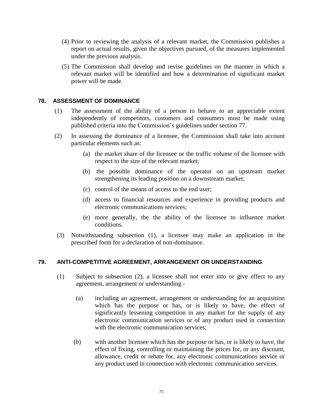- (4) Prior to reviewing the analysis of a relevant market, the Commission publishes a report on actual results, given the objectives pursued, of the measures implemented under the previous analysis.
- (5) The Commission shall develop and revise guidelines on the manner in which a relevant market will be identified and how a determination of significant market power will be made.

#### **78. ASSESSMENT OF DOMINANCE**

- (1) The assessment of the ability of a person to behave to an appreciable extent independently of competitors, customers and consumers must be made using published criteria into the Commission's guidelines under section 77.
- (2) In assessing the dominance of a licensee, the Commission shall take into account particular elements such as:
	- (a) the market share of the licensee or the traffic volume of the licensee with respect to the size of the relevant market;
	- (b) the possible dominance of the operator on an upstream market strengthening its leading position on a downstream market;
	- (c) control of the means of access to the end user;
	- (d) access to financial resources and experience in providing products and electronic communications services;
	- (e) more generally, the the ability of the licensee to influence market conditions.
- (3) Notwithstanding subsection (1), a licensee may make an application in the prescribed form for a declaration of non-dominance.

#### **79. ANTI-COMPETITIVE AGREEMENT, ARRANGEMENT OR UNDERSTANDING**

- (1) Subject to subsection (2), a licensee shall not enter into or give effect to any agreement, arrangement or understanding -
	- (a) including an agreement, arrangement or understanding for an acquisition which has the purpose or has, or is likely to have, the effect of significantly lessening competition in any market for the supply of any electronic communication services or of any product used in connection with the electronic communication services:
	- (b) with another licensee which has the purpose or has, or is likely to have, the effect of fixing, controlling or maintaining the prices for, or any discount, allowance, credit or rebate for, any electronic communications service or any product used in connection with electronic communication services.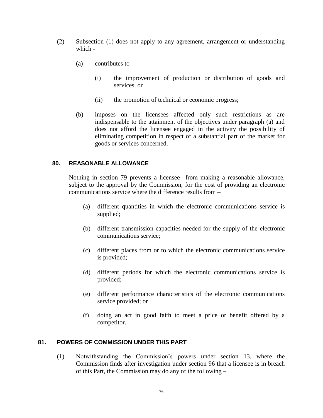- (2) Subsection (1) does not apply to any agreement, arrangement or understanding which -
	- (a) contributes to  $-$ 
		- (i) the improvement of production or distribution of goods and services, or
		- (ii) the promotion of technical or economic progress;
	- (b) imposes on the licensees affected only such restrictions as are indispensable to the attainment of the objectives under paragraph (a) and does not afford the licensee engaged in the activity the possibility of eliminating competition in respect of a substantial part of the market for goods or services concerned.

#### **80. REASONABLE ALLOWANCE**

Nothing in section 79 prevents a licensee from making a reasonable allowance, subject to the approval by the Commission, for the cost of providing an electronic communications service where the difference results from –

- (a) different quantities in which the electronic communications service is supplied;
- (b) different transmission capacities needed for the supply of the electronic communications service;
- (c) different places from or to which the electronic communications service is provided;
- (d) different periods for which the electronic communications service is provided;
- (e) different performance characteristics of the electronic communications service provided; or
- (f) doing an act in good faith to meet a price or benefit offered by a competitor.

#### **81. POWERS OF COMMISSION UNDER THIS PART**

(1) Notwithstanding the Commission's powers under section 13, where the Commission finds after investigation under section 96 that a licensee is in breach of this Part, the Commission may do any of the following –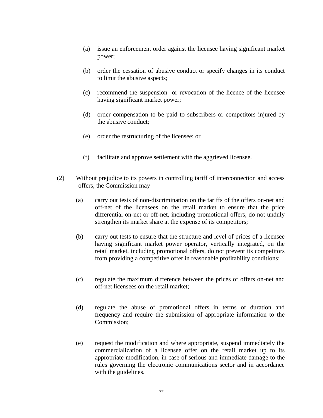- (a) issue an enforcement order against the licensee having significant market power;
- (b) order the cessation of abusive conduct or specify changes in its conduct to limit the abusive aspects;
- (c) recommend the suspension or revocation of the licence of the licensee having significant market power;
- (d) order compensation to be paid to subscribers or competitors injured by the abusive conduct;
- (e) order the restructuring of the licensee; or
- (f) facilitate and approve settlement with the aggrieved licensee.
- (2) Without prejudice to its powers in controlling tariff of interconnection and access offers, the Commission may –
	- (a) carry out tests of non-discrimination on the tariffs of the offers on-net and off-net of the licensees on the retail market to ensure that the price differential on-net or off-net, including promotional offers, do not unduly strengthen its market share at the expense of its competitors;
	- (b) carry out tests to ensure that the structure and level of prices of a licensee having significant market power operator, vertically integrated, on the retail market, including promotional offers, do not prevent its competitors from providing a competitive offer in reasonable profitability conditions;
	- (c) regulate the maximum difference between the prices of offers on-net and off-net licensees on the retail market;
	- (d) regulate the abuse of promotional offers in terms of duration and frequency and require the submission of appropriate information to the Commission;
	- (e) request the modification and where appropriate, suspend immediately the commercialization of a licensee offer on the retail market up to its appropriate modification, in case of serious and immediate damage to the rules governing the electronic communications sector and in accordance with the guidelines.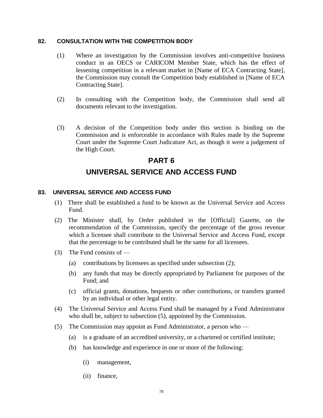#### **82. CONSULTATION WITH THE COMPETITION BODY**

- (1) Where an investigation by the Commission involves anti-competitive business conduct in an OECS or CARICOM Member State, which has the effect of lessening competition in a relevant market in [Name of ECA Contracting State], the Commission may consult the Competition body established in [Name of ECA Contracting State].
- (2) In consulting with the Competition body, the Commission shall send all documents relevant to the investigation.
- (3) A decision of the Competition body under this section is binding on the Commission and is enforceable in accordance with Rules made by the Supreme Court under the Supreme Court Judicature Act, as though it were a judgement of the High Court.

# **PART 6 UNIVERSAL SERVICE AND ACCESS FUND**

#### **83. UNIVERSAL SERVICE AND ACCESS FUND**

- (1) There shall be established a fund to be known as the Universal Service and Access Fund.
- (2) The Minister shall, by Order published in the [Official] Gazette, on the recommendation of the Commission, specify the percentage of the gross revenue which a licensee shall contribute to the Universal Service and Access Fund, except that the percentage to be contributed shall be the same for all licensees.
- (3) The Fund consists of
	- (a) contributions by licensees as specified under subsection (2);
	- (b) any funds that may be directly appropriated by Parliament for purposes of the Fund; and
	- (c) official grants, donations, bequests or other contributions, or transfers granted by an individual or other legal entity.
- (4) The Universal Service and Access Fund shall be managed by a Fund Administrator who shall be, subject to subsection (5), appointed by the Commission.
- (5) The Commission may appoint as Fund Administrator, a person who
	- (a) is a graduate of an accredited university, or a chartered or certified institute;
	- (b) has knowledge and experience in one or more of the following:
		- (i) management,
		- (ii) finance,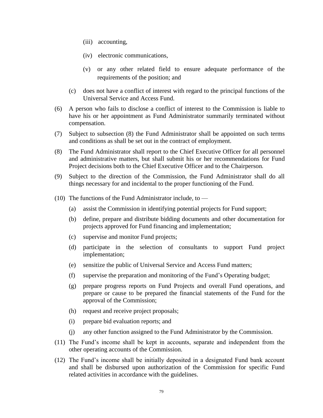- (iii) accounting,
- (iv) electronic communications,
- (v) or any other related field to ensure adequate performance of the requirements of the position; and
- (c) does not have a conflict of interest with regard to the principal functions of the Universal Service and Access Fund.
- (6) A person who fails to disclose a conflict of interest to the Commission is liable to have his or her appointment as Fund Administrator summarily terminated without compensation.
- (7) Subject to subsection (8) the Fund Administrator shall be appointed on such terms and conditions as shall be set out in the contract of employment.
- (8) The Fund Administrator shall report to the Chief Executive Officer for all personnel and administrative matters, but shall submit his or her recommendations for Fund Project decisions both to the Chief Executive Officer and to the Chairperson.
- (9) Subject to the direction of the Commission, the Fund Administrator shall do all things necessary for and incidental to the proper functioning of the Fund.
- (10) The functions of the Fund Administrator include, to  $-$ 
	- (a) assist the Commission in identifying potential projects for Fund support;
	- (b) define, prepare and distribute bidding documents and other documentation for projects approved for Fund financing and implementation;
	- (c) supervise and monitor Fund projects;
	- (d) participate in the selection of consultants to support Fund project implementation;
	- (e) sensitize the public of Universal Service and Access Fund matters;
	- (f) supervise the preparation and monitoring of the Fund's Operating budget;
	- (g) prepare progress reports on Fund Projects and overall Fund operations, and prepare or cause to be prepared the financial statements of the Fund for the approval of the Commission;
	- (h) request and receive project proposals;
	- (i) prepare bid evaluation reports; and
	- (j) any other function assigned to the Fund Administrator by the Commission.
- (11) The Fund's income shall be kept in accounts, separate and independent from the other operating accounts of the Commission.
- (12) The Fund's income shall be initially deposited in a designated Fund bank account and shall be disbursed upon authorization of the Commission for specific Fund related activities in accordance with the guidelines.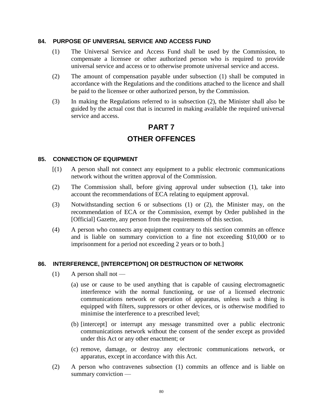#### **84. PURPOSE OF UNIVERSAL SERVICE AND ACCESS FUND**

- (1) The Universal Service and Access Fund shall be used by the Commission, to compensate a licensee or other authorized person who is required to provide universal service and access or to otherwise promote universal service and access.
- (2) The amount of compensation payable under subsection (1) shall be computed in accordance with the Regulations and the conditions attached to the licence and shall be paid to the licensee or other authorized person, by the Commission.
- (3) In making the Regulations referred to in subsection (2), the Minister shall also be guided by the actual cost that is incurred in making available the required universal service and access.

# **PART 7 OTHER OFFENCES**

#### **85. CONNECTION OF EQUIPMENT**

- [(1) A person shall not connect any equipment to a public electronic communications network without the written approval of the Commission.
- (2) The Commission shall, before giving approval under subsection (1), take into account the recommendations of ECA relating to equipment approval.
- (3) Notwithstanding section 6 or subsections (1) or (2), the Minister may, on the recommendation of ECA or the Commission, exempt by Order published in the [Official] Gazette, any person from the requirements of this section.
- (4) A person who connects any equipment contrary to this section commits an offence and is liable on summary conviction to a fine not exceeding \$10,000 or to imprisonment for a period not exceeding 2 years or to both.]

#### **86. INTERFERENCE, [INTERCEPTION] OR DESTRUCTION OF NETWORK**

- $(1)$  A person shall not
	- (a) use or cause to be used anything that is capable of causing electromagnetic interference with the normal functioning, or use of a licensed electronic communications network or operation of apparatus, unless such a thing is equipped with filters, suppressors or other devices, or is otherwise modified to minimise the interference to a prescribed level;
	- (b) [intercept] or interrupt any message transmitted over a public electronic communications network without the consent of the sender except as provided under this Act or any other enactment; or
	- (c) remove, damage, or destroy any electronic communications network, or apparatus, except in accordance with this Act.
- (2) A person who contravenes subsection (1) commits an offence and is liable on summary conviction —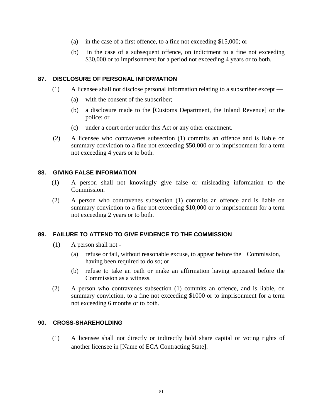- (a) in the case of a first offence, to a fine not exceeding \$15,000; or
- (b) in the case of a subsequent offence, on indictment to a fine not exceeding \$30,000 or to imprisonment for a period not exceeding 4 years or to both.

#### **87. DISCLOSURE OF PERSONAL INFORMATION**

- (1) A licensee shall not disclose personal information relating to a subscriber except
	- (a) with the consent of the subscriber;
	- (b) a disclosure made to the [Customs Department, the Inland Revenue] or the police; or
	- (c) under a court order under this Act or any other enactment.
- (2) A licensee who contravenes subsection (1) commits an offence and is liable on summary conviction to a fine not exceeding \$50,000 or to imprisonment for a term not exceeding 4 years or to both.

#### **88. GIVING FALSE INFORMATION**

- (1) A person shall not knowingly give false or misleading information to the Commission.
- (2) A person who contravenes subsection (1) commits an offence and is liable on summary conviction to a fine not exceeding \$10,000 or to imprisonment for a term not exceeding 2 years or to both.

#### **89. FAILURE TO ATTEND TO GIVE EVIDENCE TO THE COMMISSION**

- (1) A person shall not
	- (a) refuse or fail, without reasonable excuse, to appear before the Commission, having been required to do so; or
	- (b) refuse to take an oath or make an affirmation having appeared before the Commission as a witness.
- (2) A person who contravenes subsection (1) commits an offence, and is liable, on summary conviction, to a fine not exceeding \$1000 or to imprisonment for a term not exceeding 6 months or to both.

#### **90. CROSS-SHAREHOLDING**

(1) A licensee shall not directly or indirectly hold share capital or voting rights of another licensee in [Name of ECA Contracting State].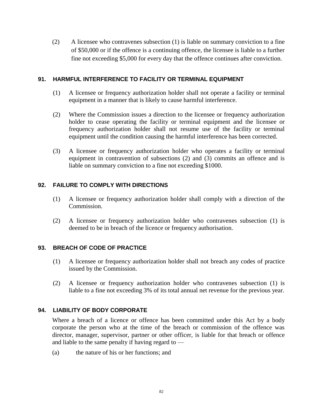(2) A licensee who contravenes subsection (1) is liable on summary conviction to a fine of \$50,000 or if the offence is a continuing offence, the licensee is liable to a further fine not exceeding \$5,000 for every day that the offence continues after conviction.

#### **91. HARMFUL INTERFERENCE TO FACILITY OR TERMINAL EQUIPMENT**

- (1) A licensee or frequency authorization holder shall not operate a facility or terminal equipment in a manner that is likely to cause harmful interference.
- (2) Where the Commission issues a direction to the licensee or frequency authorization holder to cease operating the facility or terminal equipment and the licensee or frequency authorization holder shall not resume use of the facility or terminal equipment until the condition causing the harmful interference has been corrected.
- (3) A licensee or frequency authorization holder who operates a facility or terminal equipment in contravention of subsections (2) and (3) commits an offence and is liable on summary conviction to a fine not exceeding \$1000.

#### **92. FAILURE TO COMPLY WITH DIRECTIONS**

- (1) A licensee or frequency authorization holder shall comply with a direction of the Commission.
- (2) A licensee or frequency authorization holder who contravenes subsection (1) is deemed to be in breach of the licence or frequency authorisation.

#### **93. BREACH OF CODE OF PRACTICE**

- (1) A licensee or frequency authorization holder shall not breach any codes of practice issued by the Commission.
- (2) A licensee or frequency authorization holder who contravenes subsection (1) is liable to a fine not exceeding 3% of its total annual net revenue for the previous year.

### **94. LIABILITY OF BODY CORPORATE**

Where a breach of a licence or offence has been committed under this Act by a body corporate the person who at the time of the breach or commission of the offence was director, manager, supervisor, partner or other officer, is liable for that breach or offence and liable to the same penalty if having regard to —

(a) the nature of his or her functions; and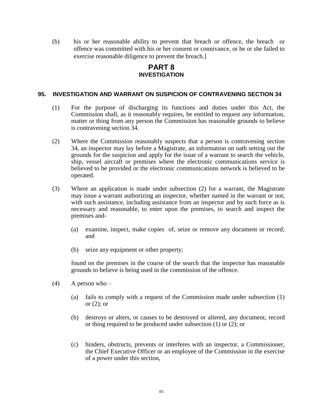(b) his or her reasonable ability to prevent that breach or offence, the breach or offence was committed with his or her consent or connivance, or he or she failed to exercise reasonable diligence to prevent the breach.]

### **PART 8 INVESTIGATION**

#### **95. INVESTIGATION AND WARRANT ON SUSPICION OF CONTRAVENING SECTION 34**

- (1) For the purpose of discharging its functions and duties under this Act, the Commission shall, as it reasonably requires, be entitled to request any information, matter or thing from any person the Commission has reasonable grounds to believe is contravening section 34.
- (2) Where the Commission reasonably suspects that a person is contravening section 34, an inspector may lay before a Magistrate, an information on oath setting out the grounds for the suspicion and apply for the issue of a warrant to search the vehicle, ship, vessel aircraft or premises where the electronic communications service is believed to be provided or the electronic communications network is believed to be operated.
- (3) Where an application is made under subsection (2) for a warrant, the Magistrate may issue a warrant authorizing an inspector, whether named in the warrant or not, with such assistance, including assistance from an inspector and by such force as is necessary and reasonable, to enter upon the premises, to search and inspect the premises and-
	- (a) examine, inspect, make copies of, seize or remove any document or record; and
	- (b) seize any equipment or other property;

found on the premises in the course of the search that the inspector has reasonable grounds to believe is being used in the commission of the offence.

- $(4)$  A person who
	- (a) fails to comply with a request of the Commission made under subsection (1) or  $(2)$ ; or
	- (b) destroys or alters, or causes to be destroyed or altered, any document, record or thing required to be produced under subsection (1) or (2); or
	- (c) hinders, obstructs, prevents or interferes with an inspector, a Commissioner, the Chief Executive Officer or an employee of the Commission in the exercise of a power under this section,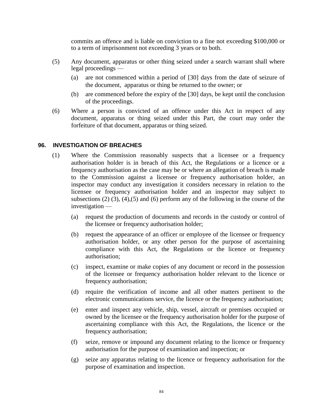commits an offence and is liable on conviction to a fine not exceeding \$100,000 or to a term of imprisonment not exceeding 3 years or to both.

- (5) Any document, apparatus or other thing seized under a search warrant shall where legal proceedings —
	- (a) are not commenced within a period of [30] days from the date of seizure of the document, apparatus or thing be returned to the owner; or
	- (b) are commenced before the expiry of the [30] days, be kept until the conclusion of the proceedings.
- (6) Where a person is convicted of an offence under this Act in respect of any document, apparatus or thing seized under this Part, the court may order the forfeiture of that document, apparatus or thing seized.

#### **96. INVESTIGATION OF BREACHES**

- (1) Where the Commission reasonably suspects that a licensee or a frequency authorisation holder is in breach of this Act, the Regulations or a licence or a frequency authorisation as the case may be or where an allegation of breach is made to the Commission against a licensee or frequency authorisation holder, an inspector may conduct any investigation it considers necessary in relation to the licensee or frequency authorisation holder and an inspector may subject to subsections (2) (3), (4),(5) and (6) perform any of the following in the course of the investigation —
	- (a) request the production of documents and records in the custody or control of the licensee or frequency authorisation holder;
	- (b) request the appearance of an officer or employee of the licensee or frequency authorisation holder, or any other person for the purpose of ascertaining compliance with this Act, the Regulations or the licence or frequency authorisation;
	- (c) inspect, examine or make copies of any document or record in the possession of the licensee or frequency authorisation holder relevant to the licence or frequency authorisation;
	- (d) require the verification of income and all other matters pertinent to the electronic communications service, the licence or the frequency authorisation;
	- (e) enter and inspect any vehicle, ship, vessel, aircraft or premises occupied or owned by the licensee or the frequency authorisation holder for the purpose of ascertaining compliance with this Act, the Regulations, the licence or the frequency authorisation;
	- (f) seize, remove or impound any document relating to the licence or frequency authorisation for the purpose of examination and inspection; or
	- (g) seize any apparatus relating to the licence or frequency authorisation for the purpose of examination and inspection.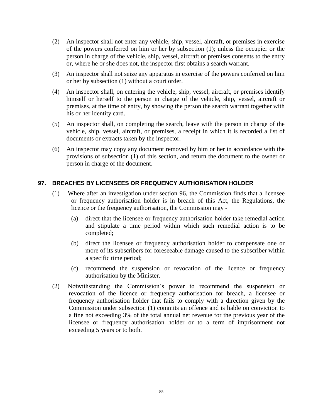- (2) An inspector shall not enter any vehicle, ship, vessel, aircraft, or premises in exercise of the powers conferred on him or her by subsection (1); unless the occupier or the person in charge of the vehicle, ship, vessel, aircraft or premises consents to the entry or, where he or she does not, the inspector first obtains a search warrant.
- (3) An inspector shall not seize any apparatus in exercise of the powers conferred on him or her by subsection (1) without a court order.
- (4) An inspector shall, on entering the vehicle, ship, vessel, aircraft, or premises identify himself or herself to the person in charge of the vehicle, ship, vessel, aircraft or premises, at the time of entry, by showing the person the search warrant together with his or her identity card.
- (5) An inspector shall, on completing the search, leave with the person in charge of the vehicle, ship, vessel, aircraft, or premises, a receipt in which it is recorded a list of documents or extracts taken by the inspector.
- (6) An inspector may copy any document removed by him or her in accordance with the provisions of subsection (1) of this section, and return the document to the owner or person in charge of the document.

#### **97. BREACHES BY LICENSEES OR FREQUENCY AUTHORISATION HOLDER**

- (1) Where after an investigation under section 96, the Commission finds that a licensee or frequency authorisation holder is in breach of this Act, the Regulations, the licence or the frequency authorisation, the Commission may -
	- (a) direct that the licensee or frequency authorisation holder take remedial action and stipulate a time period within which such remedial action is to be completed;
	- (b) direct the licensee or frequency authorisation holder to compensate one or more of its subscribers for foreseeable damage caused to the subscriber within a specific time period;
	- (c) recommend the suspension or revocation of the licence or frequency authorisation by the Minister.
- (2) Notwithstanding the Commission's power to recommend the suspension or revocation of the licence or frequency authorisation for breach, a licensee or frequency authorisation holder that fails to comply with a direction given by the Commission under subsection (1) commits an offence and is liable on conviction to a fine not exceeding 3% of the total annual net revenue for the previous year of the licensee or frequency authorisation holder or to a term of imprisonment not exceeding 5 years or to both.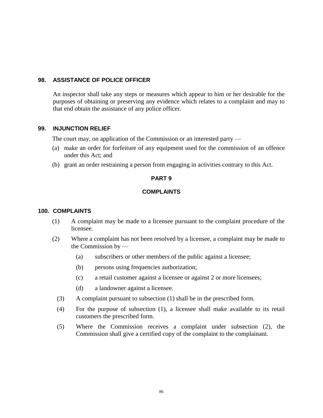#### **98. ASSISTANCE OF POLICE OFFICER**

An inspector shall take any steps or measures which appear to him or her desirable for the purposes of obtaining or preserving any evidence which relates to a complaint and may to that end obtain the assistance of any police officer.

#### **99. INJUNCTION RELIEF**

The court may, on application of the Commission or an interested party —

- (a) make an order for forfeiture of any equipment used for the commission of an offence under this Act; and
- (b) grant an order restraining a person from engaging in activities contrary to this Act.

#### **PART 9**

#### **COMPLAINTS**

#### **100. COMPLAINTS**

- (1) A complaint may be made to a licensee pursuant to the complaint procedure of the licensee.
- (2) Where a complaint has not been resolved by a licensee, a complaint may be made to the Commission by —
	- (a) subscribers or other members of the public against a licensee;
	- (b) persons using frequencies authorization;
	- (c) a retail customer against a licensee or against 2 or more licensees;
	- (d) a landowner against a licensee.
	- (3) A complaint pursuant to subsection (1) shall be in the prescribed form.
	- (4) For the purpose of subsection (1), a licensee shall make available to its retail customers the prescribed form.
	- (5) Where the Commission receives a complaint under subsection (2), the Commission shall give a certified copy of the complaint to the complainant.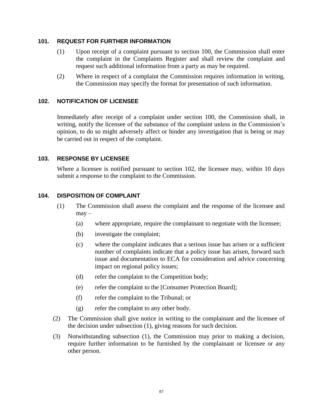#### **101. REQUEST FOR FURTHER INFORMATION**

- (1) Upon receipt of a complaint pursuant to section 100, the Commission shall enter the complaint in the Complaints Register and shall review the complaint and request such additional information from a party as may be required.
- (2) Where in respect of a complaint the Commission requires information in writing, the Commission may specify the format for presentation of such information.

#### **102. NOTIFICATION OF LICENSEE**

Immediately after receipt of a complaint under section 100, the Commission shall, in writing, notify the licensee of the substance of the complaint unless in the Commission's opinion, to do so might adversely affect or hinder any investigation that is being or may be carried out in respect of the complaint.

#### **103. RESPONSE BY LICENSEE**

Where a licensee is notified pursuant to section 102, the licensee may, within 10 days submit a response to the complaint to the Commission.

#### **104. DISPOSITION OF COMPLAINT**

- (1) The Commission shall assess the complaint and the response of the licensee and may –
	- (a) where appropriate, require the complainant to negotiate with the licensee;
	- (b) investigate the complaint;
	- (c) where the complaint indicates that a serious issue has arisen or a sufficient number of complaints indicate that a policy issue has arisen, forward such issue and documentation to ECA for consideration and advice concerning impact on regional policy issues;
	- (d) refer the complaint to the Competition body;
	- (e) refer the complaint to the [Consumer Protection Board];
	- (f) refer the complaint to the Tribunal; or
	- (g) refer the complaint to any other body.
- (2) The Commission shall give notice in writing to the complainant and the licensee of the decision under subsection (1), giving reasons for such decision.
- (3) Notwithstanding subsection (1), the Commission may prior to making a decision, require further information to be furnished by the complainant or licensee or any other person.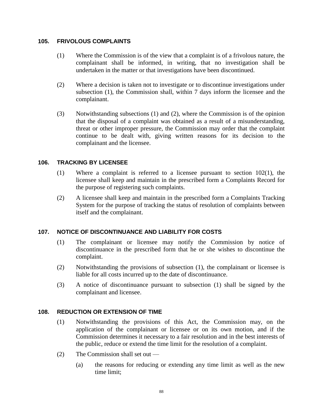#### **105. FRIVOLOUS COMPLAINTS**

- (1) Where the Commission is of the view that a complaint is of a frivolous nature, the complainant shall be informed, in writing, that no investigation shall be undertaken in the matter or that investigations have been discontinued.
- (2) Where a decision is taken not to investigate or to discontinue investigations under subsection (1), the Commission shall, within 7 days inform the licensee and the complainant.
- (3) Notwithstanding subsections (1) and (2), where the Commission is of the opinion that the disposal of a complaint was obtained as a result of a misunderstanding, threat or other improper pressure, the Commission may order that the complaint continue to be dealt with, giving written reasons for its decision to the complainant and the licensee.

#### **106. TRACKING BY LICENSEE**

- (1) Where a complaint is referred to a licensee pursuant to section 102(1), the licensee shall keep and maintain in the prescribed form a Complaints Record for the purpose of registering such complaints.
- (2) A licensee shall keep and maintain in the prescribed form a Complaints Tracking System for the purpose of tracking the status of resolution of complaints between itself and the complainant.

#### **107. NOTICE OF DISCONTINUANCE AND LIABILITY FOR COSTS**

- (1) The complainant or licensee may notify the Commission by notice of discontinuance in the prescribed form that he or she wishes to discontinue the complaint.
- (2) Notwithstanding the provisions of subsection (1), the complainant or licensee is liable for all costs incurred up to the date of discontinuance.
- (3) A notice of discontinuance pursuant to subsection (1) shall be signed by the complainant and licensee.

#### **108. REDUCTION OR EXTENSION OF TIME**

- (1) Notwithstanding the provisions of this Act, the Commission may, on the application of the complainant or licensee or on its own motion, and if the Commission determines it necessary to a fair resolution and in the best interests of the public, reduce or extend the time limit for the resolution of a complaint.
- (2) The Commission shall set out
	- (a) the reasons for reducing or extending any time limit as well as the new time limit;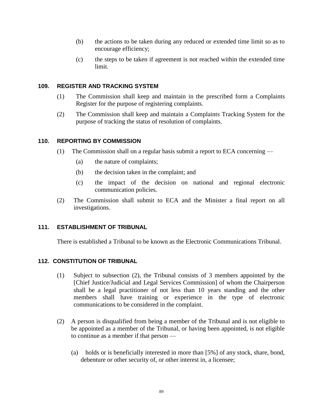- (b) the actions to be taken during any reduced or extended time limit so as to encourage efficiency;
- (c) the steps to be taken if agreement is not reached within the extended time limit.

#### **109. REGISTER AND TRACKING SYSTEM**

- (1) The Commission shall keep and maintain in the prescribed form a Complaints Register for the purpose of registering complaints.
- (2) The Commission shall keep and maintain a Complaints Tracking System for the purpose of tracking the status of resolution of complaints.

#### **110. REPORTING BY COMMISSION**

- (1) The Commission shall on a regular basis submit a report to ECA concerning
	- (a) the nature of complaints;
	- (b) the decision taken in the complaint; and
	- (c) the impact of the decision on national and regional electronic communication policies.
- (2) The Commission shall submit to ECA and the Minister a final report on all investigations.

#### **111. ESTABLISHMENT OF TRIBUNAL**

There is established a Tribunal to be known as the Electronic Communications Tribunal.

#### **112. CONSTITUTION OF TRIBUNAL**

- (1) Subject to subsection (2), the Tribunal consists of 3 members appointed by the [Chief Justice/Judicial and Legal Services Commission] of whom the Chairperson shall be a legal practitioner of not less than 10 years standing and the other members shall have training or experience in the type of electronic communications to be considered in the complaint.
- (2) A person is disqualified from being a member of the Tribunal and is not eligible to be appointed as a member of the Tribunal, or having been appointed, is not eligible to continue as a member if that person —
	- (a) holds or is beneficially interested in more than [5%] of any stock, share, bond, debenture or other security of, or other interest in, a licensee;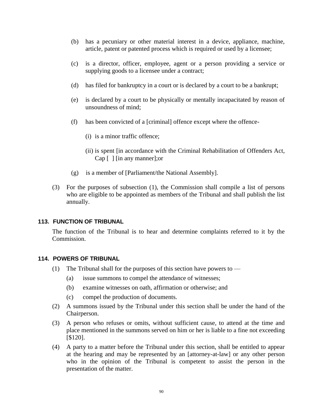- (b) has a pecuniary or other material interest in a device, appliance, machine, article, patent or patented process which is required or used by a licensee;
- (c) is a director, officer, employee, agent or a person providing a service or supplying goods to a licensee under a contract;
- (d) has filed for bankruptcy in a court or is declared by a court to be a bankrupt;
- (e) is declared by a court to be physically or mentally incapacitated by reason of unsoundness of mind;
- (f) has been convicted of a [criminal] offence except where the offence-
	- (i) is a minor traffic offence;
	- (ii) is spent [in accordance with the Criminal Rehabilitation of Offenders Act, Cap [ ] [in any manner];or
- (g) is a member of [Parliament/the National Assembly].
- (3) For the purposes of subsection (1), the Commission shall compile a list of persons who are eligible to be appointed as members of the Tribunal and shall publish the list annually.

#### **113. FUNCTION OF TRIBUNAL**

The function of the Tribunal is to hear and determine complaints referred to it by the Commission.

#### **114. POWERS OF TRIBUNAL**

- (1) The Tribunal shall for the purposes of this section have powers to  $-$ 
	- (a) issue summons to compel the attendance of witnesses;
	- (b) examine witnesses on oath, affirmation or otherwise; and
	- (c) compel the production of documents.
- (2) A summons issued by the Tribunal under this section shall be under the hand of the Chairperson.
- (3) A person who refuses or omits, without sufficient cause, to attend at the time and place mentioned in the summons served on him or her is liable to a fine not exceeding [\$120].
- (4) A party to a matter before the Tribunal under this section, shall be entitled to appear at the hearing and may be represented by an [attorney-at-law] or any other person who in the opinion of the Tribunal is competent to assist the person in the presentation of the matter.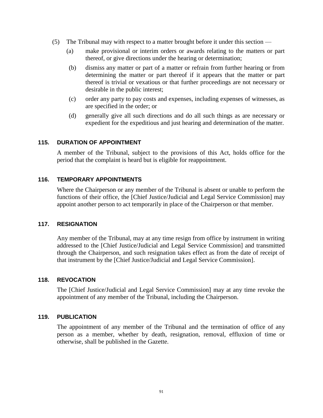- (5) The Tribunal may with respect to a matter brought before it under this section
	- (a) make provisional or interim orders or awards relating to the matters or part thereof, or give directions under the hearing or determination;
	- (b) dismiss any matter or part of a matter or refrain from further hearing or from determining the matter or part thereof if it appears that the matter or part thereof is trivial or vexatious or that further proceedings are not necessary or desirable in the public interest;
	- (c) order any party to pay costs and expenses, including expenses of witnesses, as are specified in the order; or
	- (d) generally give all such directions and do all such things as are necessary or expedient for the expeditious and just hearing and determination of the matter.

#### **115. DURATION OF APPOINTMENT**

A member of the Tribunal, subject to the provisions of this Act, holds office for the period that the complaint is heard but is eligible for reappointment.

#### **116. TEMPORARY APPOINTMENTS**

Where the Chairperson or any member of the Tribunal is absent or unable to perform the functions of their office, the [Chief Justice/Judicial and Legal Service Commission] may appoint another person to act temporarily in place of the Chairperson or that member.

#### **117. RESIGNATION**

Any member of the Tribunal, may at any time resign from office by instrument in writing addressed to the [Chief Justice/Judicial and Legal Service Commission] and transmitted through the Chairperson, and such resignation takes effect as from the date of receipt of that instrument by the [Chief Justice/Judicial and Legal Service Commission].

#### **118. REVOCATION**

The [Chief Justice/Judicial and Legal Service Commission] may at any time revoke the appointment of any member of the Tribunal, including the Chairperson.

#### **119. PUBLICATION**

The appointment of any member of the Tribunal and the termination of office of any person as a member, whether by death, resignation, removal, effluxion of time or otherwise, shall be published in the Gazette.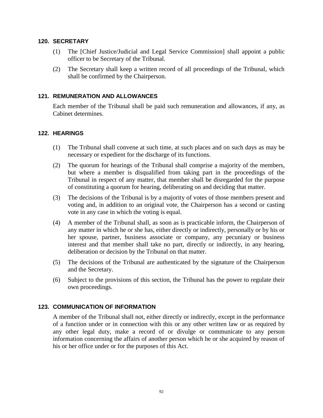#### **120. SECRETARY**

- (1) The [Chief Justice/Judicial and Legal Service Commission] shall appoint a public officer to be Secretary of the Tribunal.
- (2) The Secretary shall keep a written record of all proceedings of the Tribunal, which shall be confirmed by the Chairperson.

#### **121. REMUNERATION AND ALLOWANCES**

Each member of the Tribunal shall be paid such remuneration and allowances, if any, as Cabinet determines.

#### **122. HEARINGS**

- (1) The Tribunal shall convene at such time, at such places and on such days as may be necessary or expedient for the discharge of its functions.
- (2) The quorum for hearings of the Tribunal shall comprise a majority of the members, but where a member is disqualified from taking part in the proceedings of the Tribunal in respect of any matter, that member shall be disregarded for the purpose of constituting a quorum for hearing, deliberating on and deciding that matter.
- (3) The decisions of the Tribunal is by a majority of votes of those members present and voting and, in addition to an original vote, the Chairperson has a second or casting vote in any case in which the voting is equal.
- (4) A member of the Tribunal shall, as soon as is practicable inform, the Chairperson of any matter in which he or she has, either directly or indirectly, personally or by his or her spouse, partner, business associate or company, any pecuniary or business interest and that member shall take no part, directly or indirectly, in any hearing, deliberation or decision by the Tribunal on that matter.
- (5) The decisions of the Tribunal are authenticated by the signature of the Chairperson and the Secretary.
- (6) Subject to the provisions of this section, the Tribunal has the power to regulate their own proceedings.

#### **123. COMMUNICATION OF INFORMATION**

A member of the Tribunal shall not, either directly or indirectly, except in the performance of a function under or in connection with this or any other written law or as required by any other legal duty, make a record of or divulge or communicate to any person information concerning the affairs of another person which he or she acquired by reason of his or her office under or for the purposes of this Act.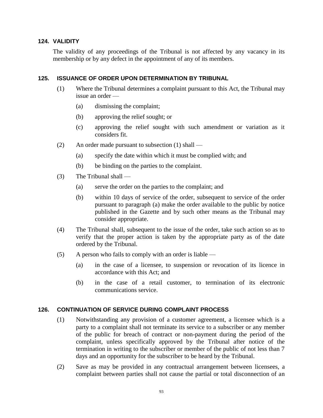#### **124. VALIDITY**

The validity of any proceedings of the Tribunal is not affected by any vacancy in its membership or by any defect in the appointment of any of its members.

#### **125. ISSUANCE OF ORDER UPON DETERMINATION BY TRIBUNAL**

- (1) Where the Tribunal determines a complaint pursuant to this Act, the Tribunal may issue an order —
	- (a) dismissing the complaint;
	- (b) approving the relief sought; or
	- (c) approving the relief sought with such amendment or variation as it considers fit.
- (2) An order made pursuant to subsection (1) shall
	- (a) specify the date within which it must be complied with; and
	- (b) be binding on the parties to the complaint.
- (3) The Tribunal shall
	- (a) serve the order on the parties to the complaint; and
	- (b) within 10 days of service of the order, subsequent to service of the order pursuant to paragraph (a) make the order available to the public by notice published in the Gazette and by such other means as the Tribunal may consider appropriate.
- (4) The Tribunal shall, subsequent to the issue of the order, take such action so as to verify that the proper action is taken by the appropriate party as of the date ordered by the Tribunal.
- (5) A person who fails to comply with an order is liable
	- (a) in the case of a licensee, to suspension or revocation of its licence in accordance with this Act; and
	- (b) in the case of a retail customer, to termination of its electronic communications service.

#### **126. CONTINUATION OF SERVICE DURING COMPLAINT PROCESS**

- (1) Notwithstanding any provision of a customer agreement, a licensee which is a party to a complaint shall not terminate its service to a subscriber or any member of the public for breach of contract or non-payment during the period of the complaint, unless specifically approved by the Tribunal after notice of the termination in writing to the subscriber or member of the public of not less than 7 days and an opportunity for the subscriber to be heard by the Tribunal.
- (2) Save as may be provided in any contractual arrangement between licensees, a complaint between parties shall not cause the partial or total disconnection of an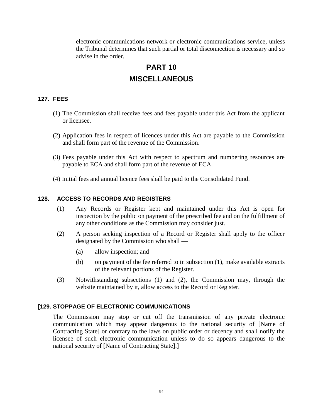electronic communications network or electronic communications service, unless the Tribunal determines that such partial or total disconnection is necessary and so advise in the order.

# **PART 10 MISCELLANEOUS**

#### **127. FEES**

- (1) The Commission shall receive fees and fees payable under this Act from the applicant or licensee.
- (2) Application fees in respect of licences under this Act are payable to the Commission and shall form part of the revenue of the Commission.
- (3) Fees payable under this Act with respect to spectrum and numbering resources are payable to ECA and shall form part of the revenue of ECA.
- (4) Initial fees and annual licence fees shall be paid to the Consolidated Fund.

#### **128. ACCESS TO RECORDS AND REGISTERS**

- (1) Any Records or Register kept and maintained under this Act is open for inspection by the public on payment of the prescribed fee and on the fulfillment of any other conditions as the Commission may consider just.
- (2) A person seeking inspection of a Record or Register shall apply to the officer designated by the Commission who shall —
	- (a) allow inspection; and
	- (b) on payment of the fee referred to in subsection (1), make available extracts of the relevant portions of the Register.
- (3) Notwithstanding subsections (1) and (2), the Commission may, through the website maintained by it, allow access to the Record or Register.

#### **[129. STOPPAGE OF ELECTRONIC COMMUNICATIONS**

The Commission may stop or cut off the transmission of any private electronic communication which may appear dangerous to the national security of [Name of Contracting State] or contrary to the laws on public order or decency and shall notify the licensee of such electronic communication unless to do so appears dangerous to the national security of [Name of Contracting State].]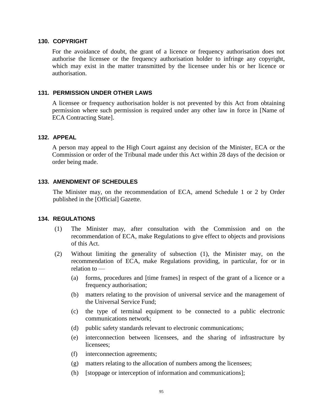#### **130. COPYRIGHT**

For the avoidance of doubt, the grant of a licence or frequency authorisation does not authorise the licensee or the frequency authorisation holder to infringe any copyright, which may exist in the matter transmitted by the licensee under his or her licence or authorisation.

#### **131. PERMISSION UNDER OTHER LAWS**

A licensee or frequency authorisation holder is not prevented by this Act from obtaining permission where such permission is required under any other law in force in [Name of ECA Contracting State].

#### **132. APPEAL**

A person may appeal to the High Court against any decision of the Minister, ECA or the Commission or order of the Tribunal made under this Act within 28 days of the decision or order being made.

#### **133. AMENDMENT OF SCHEDULES**

The Minister may, on the recommendation of ECA, amend Schedule 1 or 2 by Order published in the [Official] Gazette.

#### **134. REGULATIONS**

- (1) The Minister may, after consultation with the Commission and on the recommendation of ECA, make Regulations to give effect to objects and provisions of this Act.
- (2) Without limiting the generality of subsection (1), the Minister may, on the recommendation of ECA, make Regulations providing, in particular, for or in relation to —
	- (a) forms, procedures and [time frames] in respect of the grant of a licence or a frequency authorisation;
	- (b) matters relating to the provision of universal service and the management of the Universal Service Fund;
	- (c) the type of terminal equipment to be connected to a public electronic communications network;
	- (d) public safety standards relevant to electronic communications;
	- (e) interconnection between licensees, and the sharing of infrastructure by licensees;
	- (f) interconnection agreements;
	- (g) matters relating to the allocation of numbers among the licensees;
	- (h) [stoppage or interception of information and communications];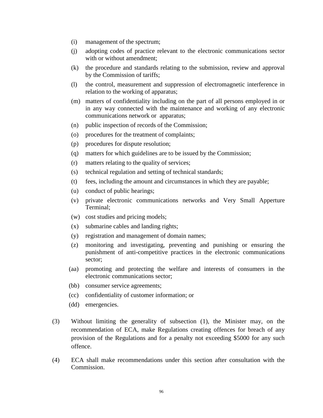- (i) management of the spectrum;
- (j) adopting codes of practice relevant to the electronic communications sector with or without amendment;
- (k) the procedure and standards relating to the submission, review and approval by the Commission of tariffs;
- (l) the control, measurement and suppression of electromagnetic interference in relation to the working of apparatus;
- (m) matters of confidentiality including on the part of all persons employed in or in any way connected with the maintenance and working of any electronic communications network or apparatus;
- (n) public inspection of records of the Commission;
- (o) procedures for the treatment of complaints;
- (p) procedures for dispute resolution;
- (q) matters for which guidelines are to be issued by the Commission;
- (r) matters relating to the quality of services;
- (s) technical regulation and setting of technical standards;
- (t) fees, including the amount and circumstances in which they are payable;
- (u) conduct of public hearings;
- (v) private electronic communications networks and Very Small Apperture Terminal;
- (w) cost studies and pricing models;
- (x) submarine cables and landing rights;
- (y) registration and management of domain names;
- (z) monitoring and investigating, preventing and punishing or ensuring the punishment of anti-competitive practices in the electronic communications sector;
- (aa) promoting and protecting the welfare and interests of consumers in the electronic communications sector;
- (bb) consumer service agreements;
- (cc) confidentiality of customer information; or
- (dd) emergencies.
- (3) Without limiting the generality of subsection (1), the Minister may, on the recommendation of ECA, make Regulations creating offences for breach of any provision of the Regulations and for a penalty not exceeding \$5000 for any such offence.
- (4) ECA shall make recommendations under this section after consultation with the Commission.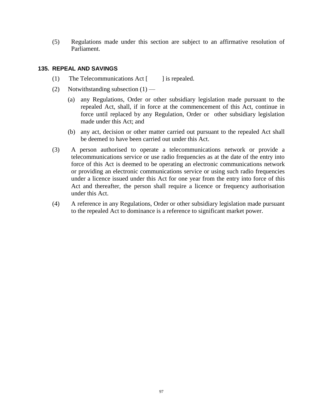(5) Regulations made under this section are subject to an affirmative resolution of Parliament.

#### **135. REPEAL AND SAVINGS**

- (1) The Telecommunications Act  $\lceil \cdot \cdot \rceil$  is repealed.
- (2) Notwithstanding subsection  $(1)$ 
	- (a) any Regulations, Order or other subsidiary legislation made pursuant to the repealed Act, shall, if in force at the commencement of this Act, continue in force until replaced by any Regulation, Order or other subsidiary legislation made under this Act; and
	- (b) any act, decision or other matter carried out pursuant to the repealed Act shall be deemed to have been carried out under this Act.
- (3) A person authorised to operate a telecommunications network or provide a telecommunications service or use radio frequencies as at the date of the entry into force of this Act is deemed to be operating an electronic communications network or providing an electronic communications service or using such radio frequencies under a licence issued under this Act for one year from the entry into force of this Act and thereafter, the person shall require a licence or frequency authorisation under this Act.
- (4) A reference in any Regulations, Order or other subsidiary legislation made pursuant to the repealed Act to dominance is a reference to significant market power.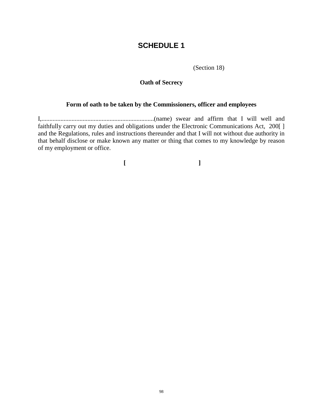## **SCHEDULE 1**

(Section 18)

### **Oath of Secrecy**

#### **Form of oath to be taken by the Commissioners, officer and employees**

I,.......................................................................(name) swear and affirm that I will well and faithfully carry out my duties and obligations under the Electronic Communications Act, 200[ ] and the Regulations, rules and instructions thereunder and that I will not without due authority in that behalf disclose or make known any matter or thing that comes to my knowledge by reason of my employment or office.

**[ ]**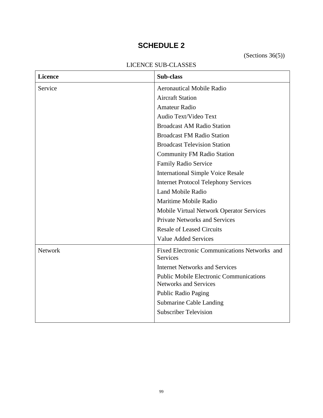# **SCHEDULE 2**

(Sections 36(5))

## LICENCE SUB-CLASSES

| <b>Licence</b> | <b>Sub-class</b>                                                               |
|----------------|--------------------------------------------------------------------------------|
| Service        | <b>Aeronautical Mobile Radio</b>                                               |
|                | <b>Aircraft Station</b>                                                        |
|                | <b>Amateur Radio</b>                                                           |
|                | Audio Text/Video Text                                                          |
|                | <b>Broadcast AM Radio Station</b>                                              |
|                | <b>Broadcast FM Radio Station</b>                                              |
|                | <b>Broadcast Television Station</b>                                            |
|                | <b>Community FM Radio Station</b>                                              |
|                | Family Radio Service                                                           |
|                | <b>International Simple Voice Resale</b>                                       |
|                | <b>Internet Protocol Telephony Services</b>                                    |
|                | Land Mobile Radio                                                              |
|                | Maritime Mobile Radio                                                          |
|                | Mobile Virtual Network Operator Services                                       |
|                | <b>Private Networks and Services</b>                                           |
|                | <b>Resale of Leased Circuits</b>                                               |
|                | <b>Value Added Services</b>                                                    |
| Network        | Fixed Electronic Communications Networks and<br><b>Services</b>                |
|                | <b>Internet Networks and Services</b>                                          |
|                | <b>Public Mobile Electronic Communications</b><br><b>Networks and Services</b> |
|                | <b>Public Radio Paging</b>                                                     |
|                | <b>Submarine Cable Landing</b>                                                 |
|                | <b>Subscriber Television</b>                                                   |
|                |                                                                                |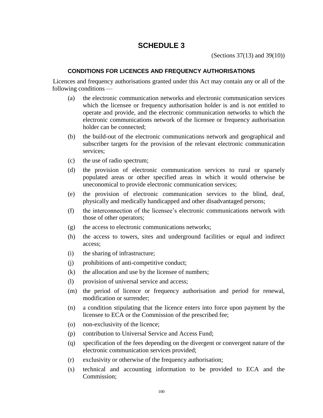## **SCHEDULE 3**

(Sections 37(13) and 39(10))

#### **CONDITIONS FOR LICENCES AND FREQUENCY AUTHORISATIONS**

Licences and frequency authorisations granted under this Act may contain any or all of the following conditions —

- (a) the electronic communication networks and electronic communication services which the licensee or frequency authorisation holder is and is not entitled to operate and provide, and the electronic communication networks to which the electronic communications network of the licensee or frequency authorisation holder can be connected;
- (b) the build-out of the electronic communications network and geographical and subscriber targets for the provision of the relevant electronic communication services;
- (c) the use of radio spectrum;
- (d) the provision of electronic communication services to rural or sparsely populated areas or other specified areas in which it would otherwise be uneconomical to provide electronic communication services;
- (e) the provision of electronic communication services to the blind, deaf, physically and medically handicapped and other disadvantaged persons;
- (f) the interconnection of the licensee's electronic communications network with those of other operators;
- (g) the access to electronic communications networks;
- (h) the access to towers, sites and underground facilities or equal and indirect access;
- (i) the sharing of infrastructure;
- (j) prohibitions of anti-competitive conduct;
- (k) the allocation and use by the licensee of numbers;
- (l) provision of universal service and access;
- (m) the period of licence or frequency authorisation and period for renewal, modification or surrender;
- (n) a condition stipulating that the licence enters into force upon payment by the licensee to ECA or the Commission of the prescribed fee;
- (o) non-exclusivity of the licence;
- (p) contribution to Universal Service and Access Fund;
- (q) specification of the fees depending on the divergent or convergent nature of the electronic communication services provided;
- (r) exclusivity or otherwise of the frequency authorisation;
- (s) technical and accounting information to be provided to ECA and the Commission;